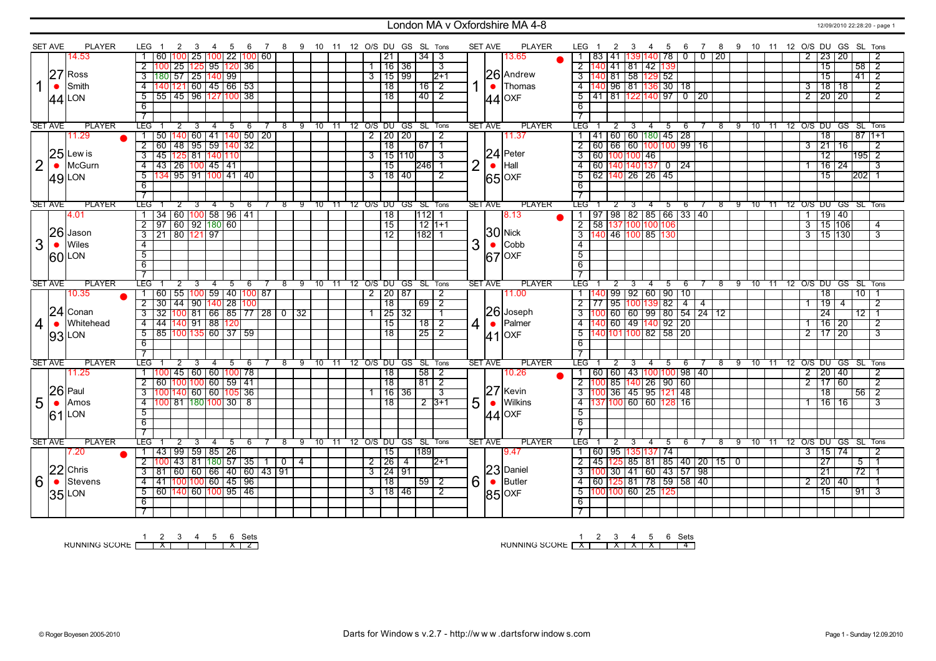### London MA v Oxfordshire MA 4-8 12/09/2010 22:28:20 - page 1

|                | <b>SET AVE</b> | <b>PLAYER</b> | LEG.                | 2                                 | 3                  | 4    | - 5    | - 6                                                   | $\overline{7}$ |              |   |         |          |      |  |                     |      | 8 9 10 11 12 O/S DU GS SL Tons |                      |                | <b>SET AVE</b> | <b>PLAYER</b> | LEG                      |      | 2              | -3 | 4                                         | 5      | - 6                                                   | $7\overline{ }$                            |                 |     |               |       |                |                | 8 9 10 11 12 O/S DU GS SL Tons |           |                 |                |
|----------------|----------------|---------------|---------------------|-----------------------------------|--------------------|------|--------|-------------------------------------------------------|----------------|--------------|---|---------|----------|------|--|---------------------|------|--------------------------------|----------------------|----------------|----------------|---------------|--------------------------|------|----------------|----|-------------------------------------------|--------|-------------------------------------------------------|--------------------------------------------|-----------------|-----|---------------|-------|----------------|----------------|--------------------------------|-----------|-----------------|----------------|
|                |                | 14.53         |                     | 60<br>100                         | 25                 | 1001 |        | 22   100   60                                         |                |              |   |         |          |      |  | 21                  |      | 34                             | -3                   |                |                | 13.65         | -1                       | 83   | $ 41\rangle$   |    | 3911                                      | 140 78 | 0                                                     | $\overline{0}$                             | $\overline{20}$ |     |               |       | $\overline{2}$ |                | 23   20                        |           |                 | 2              |
|                |                |               | $\overline{2}$      | ll 25 l                           |                    |      |        | 125  95  120  36                                      |                |              |   |         |          |      |  | 1 16 36             |      |                                | 3                    |                |                |               | 2 140                    |      |                |    | 141 81 42 139                             |        |                                                       |                                            |                 |     |               |       |                |                | $\overline{15}$                |           | 58              | $\overline{2}$ |
|                |                | $27$ Ross     | $\overline{3}$      | $\frac{180}{57}$ 25               |                    |      | 140 99 |                                                       |                |              |   |         |          |      |  | 3115199             |      |                                | $2+1$                |                |                | 26 Andrew     |                          |      |                |    |                                           |        |                                                       |                                            |                 |     |               |       |                |                | $\overline{15}$                |           | 41              | $\overline{2}$ |
|                | $\bullet$      | Smith         | $\overline{4}$      | 140 121 60 45 66 53               |                    |      |        |                                                       |                |              |   |         |          |      |  | $\overline{18}$     |      | 16                             | $\overline{2}$       |                | $\bullet$      | Thomas        |                          |      |                |    |                                           |        | 4 140 96 81 136 30 18                                 |                                            |                 |     |               |       | $\overline{3}$ |                | $\overline{18}$                | 18        |                 | $\overline{2}$ |
|                |                |               |                     |                                   |                    |      |        |                                                       |                |              |   |         |          |      |  | $\overline{18}$     |      |                                |                      |                |                |               |                          |      |                |    |                                           |        |                                                       | 5 41 81 122 140 97 0 20                    |                 |     |               |       |                |                |                                |           |                 |                |
|                |                | $44$ LON      | $5^-$               | 55 45 96 127 100 38               |                    |      |        |                                                       |                |              |   |         |          |      |  |                     |      | $40$   2                       |                      |                |                | $ 44 $ OXF    |                          |      |                |    |                                           |        |                                                       |                                            |                 |     |               |       |                |                | $2$   20   20                  |           |                 | $\overline{2}$ |
|                |                |               | 6                   |                                   |                    |      |        |                                                       |                |              |   |         |          |      |  |                     |      |                                |                      |                |                |               | 6                        |      |                |    |                                           |        |                                                       |                                            |                 |     |               |       |                |                |                                |           |                 |                |
|                |                |               | $\overline{\tau}$   |                                   |                    |      |        |                                                       |                |              |   |         |          |      |  |                     |      |                                |                      |                |                |               |                          |      |                |    |                                           |        |                                                       |                                            |                 |     |               |       |                |                |                                |           |                 |                |
|                | <b>SET AVE</b> | <b>PLAYER</b> | LEG                 |                                   | 3                  | 4    | 5      | -6                                                    |                | 8            |   | 9 10 11 |          |      |  |                     |      | 12 O/S DU GS SL Tons           |                      |                | <b>SET AVE</b> | <b>PLAYER</b> | LEG <sup>-</sup>         |      |                |    | 4                                         | 5      | 6                                                     |                                            | 8               | 9   |               |       |                |                | 10 11 12 0/S DU GS SL Tons     |           |                 |                |
|                |                | 11.29         | $\mathbf{1}$        | 50                                |                    |      |        | 140 60 41 140 50 20                                   |                |              |   |         |          |      |  | $2$   20   20       |      |                                | $\overline{2}$       |                |                | 11.37         |                          |      |                |    |                                           |        | 1   41   60   60   180   45   28                      |                                            |                 |     |               |       |                |                | $\overline{18}$                |           | $8711+1$        |                |
|                |                |               |                     | $2$ 60 48 95 59 140 32            |                    |      |        |                                                       |                |              |   |         |          |      |  | $\overline{18}$     |      | 67 1                           |                      |                |                |               |                          |      |                |    |                                           |        |                                                       | $2   60   66   60   100   100   99   16$   |                 |     |               |       | $\overline{3}$ |                | 21                             | 16        |                 | $\overline{2}$ |
|                |                | $25$ Lewis    | $\overline{3}$      | 45                                | 125 81 140 110     |      |        |                                                       |                |              |   |         |          |      |  | $3$ 15 110          |      |                                | 3                    |                |                | $24$ Peter    | 3                        |      |                |    | 60 100 100 46                             |        |                                                       |                                            |                 |     |               |       |                |                | $\overline{12}$                |           | $195$ 2         |                |
| $\overline{2}$ | $\bullet$      | McGurn        | $\overline{4}$      | 43 26 100 45 41                   |                    |      |        |                                                       |                |              |   |         |          |      |  | $\overline{15}$     |      | 246  1                         |                      | $\overline{2}$ | $\bullet$      | Hall          | $\overline{4}$           |      |                |    |                                           |        | 60 140 140 137 0 24                                   |                                            |                 |     |               |       |                |                | $\frac{16}{24}$                |           |                 | $\overline{3}$ |
|                |                | $49$ LON      | $\overline{5}$      | 134 95 91 100 41 40               |                    |      |        |                                                       |                |              |   |         |          |      |  | 3118140             |      |                                | $\overline{2}$       |                |                | 65 OXF        | 5                        |      |                |    | 62 140 26 26 45                           |        |                                                       |                                            |                 |     |               |       |                |                | $\overline{15}$                |           | $ 202 $ 1       |                |
|                |                |               | $\overline{6}$      |                                   |                    |      |        |                                                       |                |              |   |         |          |      |  |                     |      |                                |                      |                |                |               | $\overline{6}$           |      |                |    |                                           |        |                                                       |                                            |                 |     |               |       |                |                |                                |           |                 |                |
|                |                |               | $\overline{7}$      |                                   |                    |      |        |                                                       |                |              |   |         |          |      |  |                     |      |                                |                      |                |                |               |                          |      |                |    |                                           |        |                                                       |                                            |                 |     |               |       |                |                |                                |           |                 |                |
|                | <b>SET AVE</b> | <b>PLAYER</b> | LEG"                | 2                                 |                    |      | 5      | -6                                                    |                | 8            |   | 9       | 10       | -11  |  | 12 O/S DU           | GS . | SL Tons                        |                      |                | <b>SET AVE</b> | <b>PLAYER</b> | LEG"                     |      | 2              |    |                                           | 5      | 6                                                     |                                            | 8               | -9  | -10           | -11   |                |                | 12 O/S DU GS SL Tons           |           |                 |                |
|                |                | 4.01          |                     | 34 60 100                         |                    |      |        | 58 96 41                                              |                |              |   |         |          |      |  | $\overline{18}$     |      | 112                            |                      |                |                | 8.13          |                          |      |                |    |                                           |        | 1   97   98   82   85   66   33   40                  |                                            |                 |     |               |       | $\mathbf{1}$   |                | 19 40                          |           |                 |                |
|                |                |               | $\overline{2}$      | 97                                | 60   92   180   60 |      |        |                                                       |                |              |   |         |          |      |  | $\overline{15}$     |      | $12 1+1$                       |                      |                |                |               |                          |      |                |    | 2 58 137 100 100 106                      |        |                                                       |                                            |                 |     |               |       |                | $\overline{3}$ | 15 106                         |           |                 | 4              |
|                |                | $ 26 $ Jason  | 3                   | <u> 21   80   121   97</u>        |                    |      |        |                                                       |                |              |   |         |          |      |  | $\overline{12}$     |      | 1821                           |                      |                |                | $30$ Nick     |                          |      |                |    | 3 140 46 100 85 130                       |        |                                                       |                                            |                 |     |               |       | $\overline{3}$ |                | 15 130                         |           |                 | $\overline{3}$ |
| 3              | $\bullet$      | Wiles         | $\overline{4}$      |                                   |                    |      |        |                                                       |                |              |   |         |          |      |  |                     |      |                                |                      | 3              | $\bullet$      | Cobb          | $\overline{4}$           |      |                |    |                                           |        |                                                       |                                            |                 |     |               |       |                |                |                                |           |                 |                |
|                |                | <b>60 LON</b> | $\overline{5}$      |                                   |                    |      |        |                                                       |                |              |   |         |          |      |  |                     |      |                                |                      |                |                | $ 67 $ OXF    | $\overline{5}$           |      |                |    |                                           |        |                                                       |                                            |                 |     |               |       |                |                |                                |           |                 |                |
|                |                |               | $\overline{6}$      |                                   |                    |      |        |                                                       |                |              |   |         |          |      |  |                     |      |                                |                      |                |                |               | $\overline{6}$           |      |                |    |                                           |        |                                                       |                                            |                 |     |               |       |                |                |                                |           |                 |                |
|                |                |               | $\overline{7}$      |                                   |                    |      |        |                                                       |                |              |   |         |          |      |  |                     |      |                                |                      |                |                |               | $\overline{7}$           |      |                |    |                                           |        |                                                       |                                            |                 |     |               |       |                |                |                                |           |                 |                |
|                | <b>SET AVE</b> | <b>PLAYER</b> | <b>LEG</b>          |                                   |                    |      | 5      | 6                                                     |                | 8            |   | 9       | $10^{-}$ | - 11 |  |                     |      |                                | 12 O/S DU GS SL Tons |                | <b>SET AVE</b> | <b>PLAYER</b> | LEG <sup>-</sup>         |      | $\overline{2}$ |    | 4                                         | 5      | 6                                                     |                                            | 8               | -9  | $10 \quad 11$ |       |                |                | 12 O/S DU GS SL Tons           |           |                 |                |
|                |                |               |                     |                                   |                    |      |        |                                                       |                |              |   |         |          |      |  |                     |      |                                |                      |                |                |               |                          |      |                |    |                                           |        |                                                       |                                            |                 |     |               |       |                |                |                                |           |                 |                |
|                |                | 10.35         | 1 60                |                                   |                    |      |        | [55   100   59   40   100   87                        |                |              |   |         |          |      |  | $2$   20   87       |      |                                | $\overline{2}$       |                |                | 11.00         |                          |      |                |    |                                           |        | 1   140   99   92   60   90   10                      |                                            |                 |     |               |       |                |                | 18                             |           | 10 <sub>1</sub> |                |
|                |                |               | $\overline{2}$      | 30                                | 144   90           |      |        | 140 28 100                                            |                |              |   |         |          |      |  | $\overline{18}$     |      | 69 2                           |                      |                |                |               | $2 \mid 77$              |      |                |    | 95 100 139 82                             |        | $\overline{4}$                                        | $\overline{4}$                             |                 |     |               |       | $\overline{1}$ |                | 19                             | 4         |                 | $\overline{2}$ |
|                |                | $24$ Conan    | $\overline{3}$      | $\overline{32}$                   |                    |      |        | $100$ 81 66 85 77 28 0 32                             |                |              |   |         |          |      |  | $\sqrt{25}$ 32      |      |                                |                      |                |                | 26 Joseph     | $\overline{3}$           | 1100 |                |    |                                           |        |                                                       | 60 60 99 80 54 24 12                       |                 |     |               |       |                |                | $\overline{24}$                |           | $\overline{12}$ | $\overline{1}$ |
|                | $\bullet$      | Whitehead     | 4                   |                                   |                    |      |        |                                                       |                |              |   |         |          |      |  | 15                  |      | $18$   2                       |                      |                | $\bullet$      | Palmer        |                          |      |                |    |                                           |        | 4 140 60 49 140 92 20                                 |                                            |                 |     |               |       | $\overline{1}$ |                | 16 20                          |           |                 | 2              |
| $\overline{4}$ |                |               | $\overline{5}$      | 44  140  91   88  120<br>85       |                    |      |        | 10011356013759                                        |                |              |   |         |          |      |  | $\overline{18}$     |      | $25 \mid 2$                    |                      | 4 <sup>1</sup> |                |               | 5                        |      |                |    |                                           |        | 140 101 100 82 58 20                                  |                                            |                 |     |               |       |                | 2              | 17                             | <b>20</b> |                 | 3              |
|                |                | $ 93 $ LON    | 6                   |                                   |                    |      |        |                                                       |                |              |   |         |          |      |  |                     |      |                                |                      |                |                | $41$ OXF      | 6                        |      |                |    |                                           |        |                                                       |                                            |                 |     |               |       |                |                |                                |           |                 |                |
|                |                |               |                     |                                   |                    |      |        |                                                       |                |              |   |         |          |      |  |                     |      |                                |                      |                |                |               |                          |      |                |    |                                           |        |                                                       |                                            |                 |     |               |       |                |                |                                |           |                 |                |
|                | <b>SET AVE</b> | <b>PLAYER</b> | LEG                 | $\overline{2}$                    | 3                  | 4    | 5      | - 6                                                   |                | -8           |   | 9       |          |      |  |                     |      | 10 11 12 O/S DU GS SL Tons     |                      |                | <b>SET AVE</b> | <b>PLAYER</b> | LEG I                    |      | $\overline{2}$ | 3  | 4                                         | 5      | 6                                                     |                                            | $^{\circ}$      | - 9 | 10            | $-11$ |                |                | 12 O/S DU GS SL Tons           |           |                 |                |
|                |                | 11.25         |                     | 1   100   45   60   60   100   78 |                    |      |        |                                                       |                |              |   |         |          |      |  | 18                  |      | 58   2                         |                      |                |                | 10.26         |                          |      |                |    |                                           |        |                                                       | 1   60   60   43   100   100   98   40     |                 |     |               |       |                |                | 2   20   40                    |           |                 | 2              |
|                |                |               |                     | $2$ 60 100 100 60 59 41           |                    |      |        |                                                       |                |              |   |         |          |      |  | 18                  |      | 81 2                           |                      |                |                |               |                          |      |                |    |                                           |        | $2 \mid 100 \mid 85 \mid 140 \mid 26 \mid 90 \mid 60$ |                                            |                 |     |               |       |                | $\overline{2}$ | 117160                         |           |                 | $\overline{2}$ |
|                |                |               | $\overline{3}$      |                                   |                    |      |        |                                                       |                |              |   |         |          |      |  | $116$ 36            |      |                                | -3                   |                |                |               |                          |      |                |    |                                           |        |                                                       |                                            |                 |     |               |       |                |                | 18                             |           | $56 \mid 2$     |                |
|                |                | $26$ Paul     |                     | 100 140 60 60 105 36              |                    |      |        |                                                       |                |              |   |         |          |      |  |                     |      |                                |                      |                |                | $27$ Kevin    |                          |      |                |    |                                           |        |                                                       |                                            |                 |     |               |       |                |                |                                |           |                 |                |
| 5              | $\bullet$      | Amos          | $\overline{4}$      | 100 81 180 100 30 8               |                    |      |        |                                                       |                |              |   |         |          |      |  | 18                  |      |                                | $2 \mid 3+1$         | 5              | $\bullet$      | Wilkins       |                          |      |                |    |                                           |        | $-4$ 137 100 60 60 128 16                             |                                            |                 |     |               |       |                |                | 16                             | 16        |                 | 3              |
|                |                | $61$ LON      | 5                   |                                   |                    |      |        |                                                       |                |              |   |         |          |      |  |                     |      |                                |                      |                |                | $ 44 $ OXF    | 5                        |      |                |    |                                           |        |                                                       |                                            |                 |     |               |       |                |                |                                |           |                 |                |
|                |                |               | 6                   |                                   |                    |      |        |                                                       |                |              |   |         |          |      |  |                     |      |                                |                      |                |                |               | 6                        |      |                |    |                                           |        |                                                       |                                            |                 |     |               |       |                |                |                                |           |                 |                |
|                |                |               | $\overline{7}$      |                                   |                    |      |        |                                                       |                |              |   |         |          |      |  |                     |      |                                |                      |                |                |               | $\overline{\phantom{a}}$ |      |                |    |                                           |        |                                                       |                                            |                 |     |               |       |                |                |                                |           |                 |                |
|                | <b>SET AVE</b> | <b>PLAYER</b> | LEG                 | 2                                 | 3                  | 4    | 5      | -6                                                    |                | 8            |   | 9       | 10       | -11  |  |                     |      | 12 O/S DU GS SL Tons           |                      |                | <b>SET AVE</b> | <b>PLAYER</b> | LEG <sup>-</sup>         |      | 2              | 3  | 4                                         | 5      | -6                                                    |                                            | 8               | 9   | 10            | - 11  |                |                | 12 O/S DU GS SL Tons           |           |                 |                |
|                |                | 7.20          |                     | 1   43   99   59   85   26        |                    |      |        |                                                       |                |              |   |         |          |      |  | 15                  |      | 189                            |                      |                |                | 9.47          |                          |      |                |    | 1 60 95 135 137 74                        |        |                                                       |                                            |                 |     |               |       |                |                | 3   15   74                    |           |                 | 2              |
|                |                |               | $\overline{2}$      |                                   | 43   81            |      |        | $\left  \frac{180}{57} \right $ 35 $\left  1 \right $ |                | $\mathbf{0}$ | 4 |         |          |      |  | 2 26                | -4   |                                | 12+1                 |                |                |               | 2                        |      |                |    |                                           |        |                                                       | 45   125   85   81   85   40   20   15   0 |                 |     |               |       |                |                | 27                             |           | 5               |                |
|                |                | $22$ Chris    | $3 \mid 81$         |                                   |                    |      |        | 60   60   66   40   60   43   91                      |                |              |   |         |          |      |  | $3 \mid 24 \mid 91$ |      |                                |                      |                |                | 23 Daniel     |                          |      |                |    |                                           |        |                                                       | $\frac{100}{30}$ 30 41 60 43 57 98         |                 |     |               |       |                |                | 21                             |           | $\overline{72}$ |                |
| 6              | $\bullet$      | Stevens       | $\overline{4}$      | 41 100 100 60 45 96               |                    |      |        |                                                       |                |              |   |         |          |      |  | $\overline{18}$     |      | $59$   2                       |                      | 6              | $\bullet$      | Butler        |                          |      |                |    |                                           |        |                                                       | 4 60 125 81 78 59 58 40                    |                 |     |               |       | $\overline{2}$ |                | 20 40                          |           |                 |                |
|                |                | 35 LON        | $5^-$               | 60 140 60 100 95 46               |                    |      |        |                                                       |                |              |   |         |          |      |  | $3$ 18 46           |      |                                | $\overline{2}$       |                | 85             | OXF           |                          |      |                |    | $5\frac{100}{100}$ 60 $25\frac{125}{125}$ |        |                                                       |                                            |                 |     |               |       |                |                | $\overline{15}$                |           | 91              | $\sqrt{3}$     |
|                |                |               | 6<br>$\overline{7}$ |                                   |                    |      |        |                                                       |                |              |   |         |          |      |  |                     |      |                                |                      |                |                |               | 6<br>$\overline{7}$      |      |                |    |                                           |        |                                                       |                                            |                 |     |               |       |                |                |                                |           |                 |                |

1 2 3 4 5 6 Sets<br>RUNNING SCORE <u>| X | | | | X | 2</u>

RUNNING SCORE 1 X 2 3 X 4 X 5 X 6 Sets 4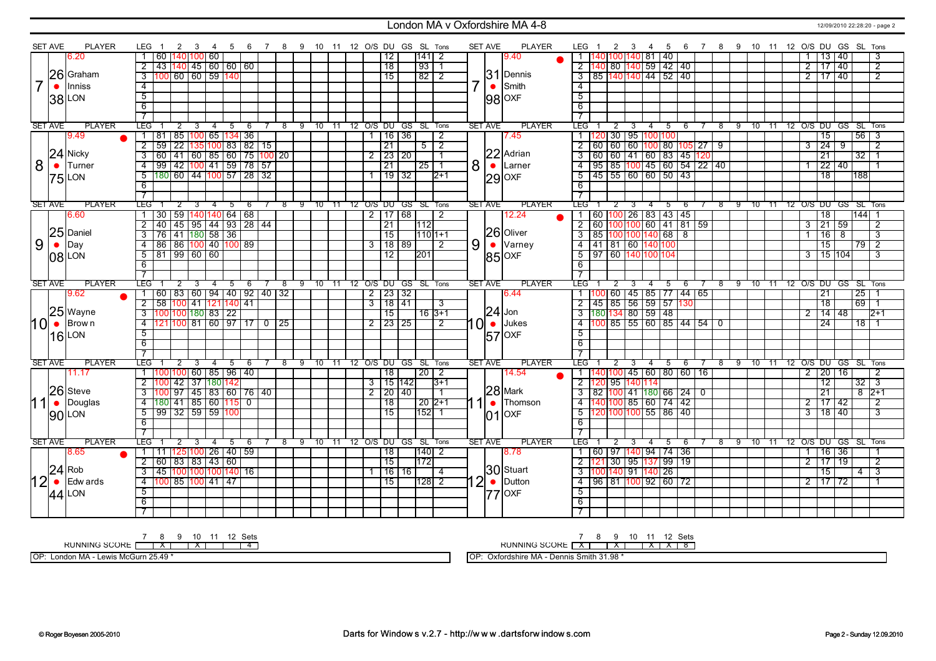#### London MA v Oxfordshire MA 4-8 12/09/2010 22:28:20 - page 2

|                | <b>SET AVE</b> | <b>PLAYER</b>    | LEG 1                                                                          | 2 3                                                                            | 4              | -5          |      |     | 6 7 8 9 10 11 12 O/S DU GS SL Tons |  |                |                     |             |                       |                |                | <b>SET AVE</b> | <b>PLAYER</b>    | LEG 1                          |     | 2 3            | $\overline{4}$                               | 5           |                                                                                                           |     |   |  |  |                     |                                   |                 | 6 7 8 9 10 11 12 O/S DU GS SL Tons     |  |
|----------------|----------------|------------------|--------------------------------------------------------------------------------|--------------------------------------------------------------------------------|----------------|-------------|------|-----|------------------------------------|--|----------------|---------------------|-------------|-----------------------|----------------|----------------|----------------|------------------|--------------------------------|-----|----------------|----------------------------------------------|-------------|-----------------------------------------------------------------------------------------------------------|-----|---|--|--|---------------------|-----------------------------------|-----------------|----------------------------------------|--|
|                |                | 6.20             |                                                                                | 60   140   100   60                                                            |                |             |      |     |                                    |  |                | 12                  |             | $ 141 $ 2             |                |                |                | 9.40             |                                |     |                | 140 100 140 81 40                            |             |                                                                                                           |     |   |  |  |                     | 13 40                             |                 | 3                                      |  |
|                |                |                  | $\overline{2}$                                                                 | 43 140 45 60 60 60                                                             |                |             |      |     |                                    |  |                | $\overline{18}$     |             | $\sqrt{93}$           | $\overline{1}$ |                |                |                  | $\overline{2}$                 | 140 |                | 80 140 59 42 40                              |             |                                                                                                           |     |   |  |  | $\overline{2}$      | 17   40                           |                 | $\overline{2}$                         |  |
|                |                | 26 Graham        | $\overline{3}$                                                                 | 100 60 60 59 140                                                               |                |             |      |     |                                    |  |                | $\overline{15}$     |             | $82$   2              |                |                |                | $31$ Dennis      | $\overline{3}$                 |     |                | 85  140 140  44   52   40                    |             |                                                                                                           |     |   |  |  | 2 <sup>1</sup>      | 17 40                             |                 | $\overline{2}$                         |  |
| $\overline{7}$ | $\bullet$      | Inniss           | $\overline{4}$                                                                 |                                                                                |                |             |      |     |                                    |  |                |                     |             |                       |                | $\overline{7}$ | $\bullet$      | Smith            | $-4$                           |     |                |                                              |             |                                                                                                           |     |   |  |  |                     |                                   |                 |                                        |  |
|                |                | 38 LON           | $\overline{5}$                                                                 |                                                                                |                |             |      |     |                                    |  |                |                     |             |                       |                |                |                | $ 98 $ OXF       | $\overline{5}$                 |     |                |                                              |             |                                                                                                           |     |   |  |  |                     |                                   |                 |                                        |  |
|                |                |                  | $\overline{6}$                                                                 |                                                                                |                |             |      |     |                                    |  |                |                     |             |                       |                |                |                |                  | 6                              |     |                |                                              |             |                                                                                                           |     |   |  |  |                     |                                   |                 |                                        |  |
|                |                |                  | $\overline{7}$                                                                 |                                                                                |                |             |      |     |                                    |  |                |                     |             |                       |                |                |                |                  | $\overline{7}$                 |     |                |                                              |             |                                                                                                           |     |   |  |  |                     |                                   |                 |                                        |  |
|                | <b>SET AVE</b> | <b>PLAYER</b>    | <b>TEG</b>                                                                     | $\overline{2}$<br>$\overline{\mathbf{3}}$                                      | $\overline{4}$ | 5           | $-6$ |     | 7 8 9 10 11 12 O/S DU GS SL Tons   |  |                |                     |             |                       |                |                | <b>SET AVE</b> | <b>PLAYER</b>    | <b>LEG</b>                     |     | $\overline{2}$ | -3                                           |             |                                                                                                           |     |   |  |  |                     |                                   |                 | 4 5 6 7 8 9 10 11 12 O/S DU GS SL Tons |  |
|                |                | 9.49             |                                                                                | 81   85   100   65   134   36                                                  |                |             |      |     |                                    |  |                | 16 36               |             |                       | 2              |                |                | 7.45             |                                | 20  |                | 30 95 100 100                                |             |                                                                                                           |     |   |  |  |                     | $\overline{15}$                   |                 | $56$   3                               |  |
|                |                |                  | $\overline{2}$                                                                 | 59 22 135 100 83 82 15                                                         |                |             |      |     |                                    |  |                | $\overline{21}$     |             | $5\overline{2}$       |                |                |                |                  | $\overline{2}$                 |     |                |                                              |             | 60   60   60 <mark>  100  </mark> 80   105   27                                                           |     | ු |  |  | $\overline{3}$      | $\overline{24}$                   | ு               | $\overline{2}$                         |  |
|                |                | $24$ Nicky       | $\overline{3}$                                                                 | <u>  60   41   60   85   60   75  100  20</u>                                  |                |             |      |     |                                    |  | 2              |                     | 23 20       |                       | $\mathbf{1}$   |                |                | 22 Adrian        | $\overline{\cdot \cdot \cdot}$ |     |                |                                              |             | 60   60   41   60   83   45   <mark>12</mark> 0                                                           |     |   |  |  |                     | $\overline{21}$                   | $\overline{32}$ |                                        |  |
| 8              |                | $\bullet$ Turner | $\overline{4}$                                                                 | $\frac{99}{42}$ $\frac{100}{41}$ $\frac{41}{59}$ $\frac{1}{78}$ $\frac{1}{57}$ |                |             |      |     |                                    |  |                | $\overline{21}$     |             | 25 1                  |                | 8              |                | $\bullet$ Larner | $-4$                           |     |                |                                              |             | 95 85 100 45 60 54 22 40                                                                                  |     |   |  |  |                     | 22   40                           |                 |                                        |  |
|                |                | $75$ LON         | 180 60 44 100 57 28 32<br>$\overline{5}$                                       |                                                                                |                |             |      |     |                                    |  |                | $\frac{1}{19}$ 32   |             |                       | $12+1$         |                |                | $29$ OXF         | $\overline{5}$                 |     |                | 45 55 60 60 50 43                            |             |                                                                                                           |     |   |  |  |                     | $\overline{18}$                   | 188             |                                        |  |
|                |                |                  | 6                                                                              |                                                                                |                |             |      |     |                                    |  |                |                     |             |                       |                |                |                |                  | 6                              |     |                |                                              |             |                                                                                                           |     |   |  |  |                     |                                   |                 |                                        |  |
|                |                |                  | $\overline{7}$                                                                 |                                                                                |                |             |      |     |                                    |  |                |                     |             |                       |                |                |                |                  |                                |     |                |                                              |             |                                                                                                           |     |   |  |  |                     |                                   |                 |                                        |  |
|                | <b>SET AVE</b> | <b>PLAYER</b>    | TEG 1                                                                          | $\overline{2}$<br>3                                                            | $\overline{4}$ | $5^{\circ}$ | - 6  |     | 8 9 10 11 12 O/S DU GS SL Tons     |  |                |                     |             |                       |                |                | SET AVE        | <b>PLAYER</b>    | TEG -                          |     | $\overline{2}$ | $\overline{3}$<br>$-4$                       | $5^{\circ}$ | -6                                                                                                        |     |   |  |  |                     |                                   |                 | 7 8 9 10 11 12 O/S DU GS SL Tons       |  |
|                |                | 6.60             | 1 30 59 140 140 64 68                                                          |                                                                                |                |             |      |     |                                    |  |                |                     | $2$ 17 68   |                       | 2              |                |                | 12.24            |                                |     |                |                                              |             | 60   100   26   83   43   45                                                                              |     |   |  |  |                     | $\overline{18}$                   |                 | $1144$ 1                               |  |
|                |                |                  |                                                                                |                                                                                |                |             |      |     |                                    |  |                | $\overline{21}$     |             | 112                   |                |                |                |                  | $\overline{2}$                 |     |                |                                              |             | 60   100   100   60   41   81   59                                                                        |     |   |  |  | 3                   | $\sqrt{21 59}$                    |                 | $\overline{2}$                         |  |
|                |                | $25$ Daniel      | 2   40   45   95   44   93   28   44<br>  3   76   41   180   58   36          |                                                                                |                |             |      |     |                                    |  |                | $\overline{15}$     |             | $1110$ <sub>1+1</sub> |                |                |                | 26 Oliver        | $\overline{\mathbf{3}}$        |     |                | 85 100 100 140 68 8                          |             |                                                                                                           |     |   |  |  |                     | $\overline{16}$<br>$\overline{8}$ |                 | $\overline{\mathbf{3}}$                |  |
| 9              |                | $\bullet$ Day    | $\overline{4}$                                                                 | 86   86 <mark>  100</mark>   40   100   89                                     |                |             |      |     |                                    |  |                |                     | $3$ 118 189 |                       | $\overline{2}$ | 9 <sup>1</sup> |                | $\bullet$ Varney | $-4$                           |     |                | 41 81 60 140 100                             |             |                                                                                                           |     |   |  |  |                     | $\overline{15}$                   |                 | $\overline{79}$ 2                      |  |
|                |                | 08 LON           | 181 199 160 160<br>$\overline{5}$                                              |                                                                                |                |             |      |     |                                    |  |                | $\overline{12}$     |             | 201                   |                |                |                | 85 OXF           | $\overline{5}$                 |     |                | <u>97 60 140 100 104</u>                     |             |                                                                                                           |     |   |  |  | $\overline{3}$      | 15 104                            |                 | $\overline{3}$                         |  |
|                |                |                  | $6\overline{6}$                                                                |                                                                                |                |             |      |     |                                    |  |                |                     |             |                       |                |                |                |                  | 6                              |     |                |                                              |             |                                                                                                           |     |   |  |  |                     |                                   |                 |                                        |  |
|                |                |                  | $\overline{7}$                                                                 |                                                                                |                |             |      |     |                                    |  |                |                     |             |                       |                |                |                |                  |                                |     |                |                                              |             |                                                                                                           |     |   |  |  |                     |                                   |                 |                                        |  |
|                | <b>SET AVE</b> | <b>PLAYER</b>    | <b>TEG</b>                                                                     | $\overline{2}$<br>$-3$                                                         | $-4$           | $5\quad 6$  |      | 7 8 | 9 10 11 12 O/S DU GS SL Tons       |  |                |                     |             |                       |                |                | SET AVE        | <b>PLAYER</b>    | LEG <sup>-</sup>               |     | $\overline{2}$ | $-4$<br>$-3$                                 |             | $5\quad 6$                                                                                                |     |   |  |  |                     |                                   |                 | 7 8 9 10 11 12 O/S DU GS SL Tons       |  |
|                |                | 9.62             | 1   60   83   60   94   40   92   40   32                                      |                                                                                |                |             |      |     |                                    |  |                | $2 \mid 23 \mid 32$ |             |                       |                |                |                | 6.44             |                                |     |                |                                              |             | $[100]$ 60   45   85   77   44   65                                                                       |     |   |  |  |                     | $\overline{21}$                   |                 | $\overline{25 1}$                      |  |
|                |                |                  | $\overline{2}$                                                                 | 58 100 41 121 140 41                                                           |                |             |      |     |                                    |  |                | $3 \mid 18 \mid 41$ |             |                       | 3              |                |                |                  | $\overline{2}$                 |     |                |                                              |             | 45 85 56 59 57 130                                                                                        |     |   |  |  |                     | $\overline{18}$                   |                 | $69$ 1                                 |  |
|                |                | 25 Wayne         | 3 100 100 180 83 22<br>4 121 100 81 60 97 17 0 25                              |                                                                                |                |             |      |     |                                    |  |                | $\overline{15}$     |             | $16$ 3+1              |                |                |                | $24$ Jon         | $\overline{3}$                 |     |                | 180134 80 59 48                              |             |                                                                                                           |     |   |  |  | $\overline{2}$      | $14 \mid 48$                      |                 | $12+1$                                 |  |
|                |                | $10$ • Brown     |                                                                                |                                                                                |                |             |      |     |                                    |  |                | 2 23 25             |             |                       | 2              | I Ol           | $\bullet$      | <b>Jukes</b>     | $\overline{4}$                 |     |                |                                              |             | $\frac{100}{85}$ $\frac{1}{55}$ $\frac{1}{60}$ $\frac{1}{85}$ $\frac{1}{44}$ $\frac{1}{54}$ $\frac{1}{0}$ |     |   |  |  |                     | 24                                |                 | 18   1                                 |  |
|                |                | $16$ LON         | $\overline{5}$                                                                 |                                                                                |                |             |      |     |                                    |  |                |                     |             |                       |                |                |                | $ 57 $ OXF       | $\overline{5}$                 |     |                |                                              |             |                                                                                                           |     |   |  |  |                     |                                   |                 |                                        |  |
|                |                |                  | 6                                                                              |                                                                                |                |             |      |     |                                    |  |                |                     |             |                       |                |                |                |                  | 6                              |     |                |                                              |             |                                                                                                           |     |   |  |  |                     |                                   |                 |                                        |  |
|                |                |                  | $\overline{7}$                                                                 |                                                                                |                |             |      |     |                                    |  |                |                     |             |                       |                |                |                |                  |                                |     |                |                                              |             |                                                                                                           |     |   |  |  |                     |                                   |                 |                                        |  |
|                | <b>SET AVE</b> | <b>PLAYER</b>    | <b>LEG</b>                                                                     | 2<br>3                                                                         | $-4$           | $5\quad 6$  |      |     | 7 8 9 10 11 12 O/S DU GS SL Tons   |  |                |                     |             |                       |                |                | <b>SET AVE</b> | <b>PLAYER</b>    | <b>LEG</b>                     |     | $\overline{2}$ | $\overline{\mathbf{3}}$<br>$-4$              |             | $5\quad 6$                                                                                                | 7   |   |  |  |                     |                                   |                 | 8 9 10 11 12 O/S DU GS SL Tons         |  |
|                |                | 11.17            | 1  100 100  60   85   96   40                                                  |                                                                                |                |             |      |     |                                    |  |                | 18                  |             | $20 \mid 2$           |                |                |                | 14.54            |                                |     |                |                                              |             | 140 100  45   60   80   60   16                                                                           |     |   |  |  | 2                   | 20 16                             |                 | 2                                      |  |
|                |                | 26 Steve         |                                                                                | 100 42 37 180 142                                                              |                |             |      |     |                                    |  | $\overline{3}$ |                     | 15 142      |                       | $3+1$          |                |                | $28$ Mark        | $\overline{2}$                 |     |                | 95 140 114                                   |             |                                                                                                           |     |   |  |  |                     | 12                                | 32              | -3                                     |  |
|                |                |                  |                                                                                | 100 97 45 83 60 76 40                                                          |                |             |      |     |                                    |  | $\overline{2}$ | 20 40               |             |                       | 1              |                |                |                  | 3                              |     |                |                                              |             | 82   100   41   180   66   24                                                                             | - 0 |   |  |  |                     | 21                                |                 | $8 \;  2+1$                            |  |
| 11             | $\bullet$      | Douglas          | 4 180 41 85 60 115 0                                                           |                                                                                |                |             |      |     |                                    |  |                | 18                  |             | $20 2+1$              |                |                | $1\bullet$     | <b>Thomson</b>   | $\overline{4}$                 |     |                | 140 100 85 60 74 42                          |             |                                                                                                           |     |   |  |  | $\overline{2}$      | $17 \mid 42$                      |                 | $\overline{2}$                         |  |
|                |                | 90 LON           | 5   99   32   59   59   100                                                    |                                                                                |                |             |      |     |                                    |  |                | 15                  |             | $ 152 $ 1             |                |                | 01             | OXF              | 5                              |     |                | 120 100 100 55 86 40                         |             |                                                                                                           |     |   |  |  | კ                   | 18 40                             |                 | 3                                      |  |
|                |                |                  | 6                                                                              |                                                                                |                |             |      |     |                                    |  |                |                     |             |                       |                |                |                |                  | 6                              |     |                |                                              |             |                                                                                                           |     |   |  |  |                     |                                   |                 |                                        |  |
|                |                | <b>PLAYER</b>    | $\overline{7}$                                                                 |                                                                                |                |             |      |     |                                    |  |                |                     |             |                       |                |                |                | <b>PLAYER</b>    |                                |     |                |                                              |             |                                                                                                           |     |   |  |  |                     |                                   |                 |                                        |  |
|                | <b>SET AVE</b> |                  | <b>LEG</b>                                                                     | $\overline{\mathbf{3}}$                                                        | $\overline{4}$ | $5^{\circ}$ | - 6  |     | 7 8 9 10 11 12 O/S DU GS SL Tons   |  |                |                     |             |                       |                |                | <b>SET AVE</b> |                  | LEG <sub>1</sub>               |     | $\overline{2}$ | $\overline{3}$<br>$\overline{4}$             |             | 5 6                                                                                                       |     |   |  |  |                     |                                   |                 | 7 8 9 10 11 12 O/S DU GS SL Tons       |  |
|                |                | 8.65             | 1   11   125   100   26   40   59<br>2   60   83   83   43   60                |                                                                                |                |             |      |     |                                    |  |                | 18                  |             | 140 2<br>11721        |                |                |                | 8.78             |                                |     |                | 60   97  140  94   74   36                   |             |                                                                                                           |     |   |  |  |                     | 16 36<br>17 19                    |                 | $\overline{2}$                         |  |
|                | $24$ Rob       |                  | $\frac{3}{145} \frac{100}{100} \frac{100}{100} \frac{100}{140} \frac{100}{16}$ |                                                                                |                |             |      |     |                                    |  |                | 15                  | 16 16       |                       |                |                |                | 30 Stuart        |                                |     |                | 2 121 30 95 137 99 19<br>3 100 140 91 140 26 |             |                                                                                                           |     |   |  |  | $\overline{2}$      | $\overline{15}$                   |                 | $\overline{\mathbf{3}}$                |  |
|                |                | Edw ards         |                                                                                |                                                                                |                |             |      |     |                                    |  |                |                     |             |                       | $\overline{4}$ |                |                | Dutton           |                                |     |                |                                              |             | 96   81  100   92   60   72                                                                               |     |   |  |  |                     |                                   | 4 <sup>1</sup>  |                                        |  |
| 12             | $\bullet$      |                  | 4 100 85 100 41 47                                                             |                                                                                |                |             |      |     |                                    |  |                | 15                  |             | $1128$ 2              |                | $\mathbf{2}$   |                |                  | $\overline{4}$                 |     |                |                                              |             |                                                                                                           |     |   |  |  | $2 \mid 17 \mid 72$ |                                   |                 |                                        |  |
|                |                | $44$ LON         | 5<br>6                                                                         |                                                                                |                |             |      |     |                                    |  |                |                     |             |                       |                |                |                | $ 77 $ OXF       | $5\overline{)}$                |     |                |                                              |             |                                                                                                           |     |   |  |  |                     |                                   |                 |                                        |  |
|                |                |                  | $\overline{\tau}$                                                              |                                                                                |                |             |      |     |                                    |  |                |                     |             |                       |                |                |                |                  | 6<br>$\overline{\phantom{a}}$  |     |                |                                              |             |                                                                                                           |     |   |  |  |                     |                                   |                 |                                        |  |
|                |                |                  |                                                                                |                                                                                |                |             |      |     |                                    |  |                |                     |             |                       |                |                |                |                  |                                |     |                |                                              |             |                                                                                                           |     |   |  |  |                     |                                   |                 |                                        |  |
|                |                |                  |                                                                                |                                                                                |                |             |      |     |                                    |  |                |                     |             |                       |                |                |                |                  |                                |     |                |                                              |             |                                                                                                           |     |   |  |  |                     |                                   |                 |                                        |  |

7 8 9 10 11 12 Sets<br>RUNNING SCORE [ | X | | X | | | 4

OP: London MA - Lewis McGurn 25.49 \*

RUNNING SCORE 7 X 8 9 X 10 11 X 12 X Sets 8

OP: Oxfordshire MA - Dennis Smith 31.98 \*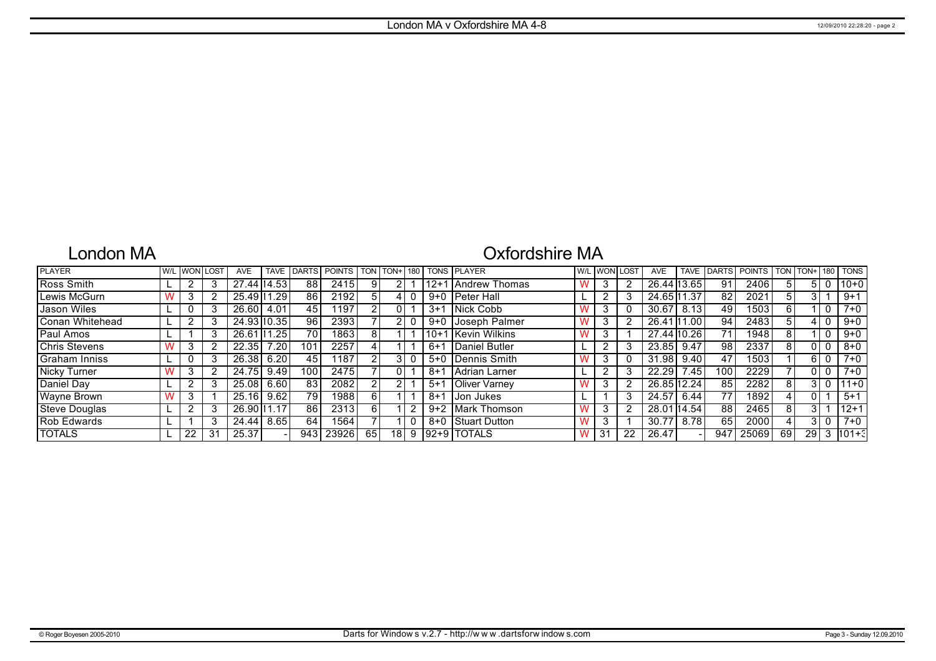## London MA

# Oxfordshire MA

| <b>PLAYER</b>        | W/I |    | .OST | <b>AVE</b>   | <b>TAVE</b> |     | <b>IDARTS POINTS ITON</b> |                | $ TON+ 180 $ |         | <b>TONS PLAYER</b>     |   | W/L WON I | LOST | <b>AVE</b>  | <b>TAVE</b> | <b>DARTS</b> | <b>POINTS</b> | TON. | TON+ | 180 | <b>TONS</b> |
|----------------------|-----|----|------|--------------|-------------|-----|---------------------------|----------------|--------------|---------|------------------------|---|-----------|------|-------------|-------------|--------------|---------------|------|------|-----|-------------|
| Ross Smith           |     |    |      | 27.44 14.53  |             | 88  | 2415                      | 9              |              | 12+1    | <b>IAndrew Thomas</b>  |   | 3         |      | 26.44 13.65 |             | 91           | 2406          | 5    |      |     | $ 10+0 $    |
| Lewis McGurn         |     |    |      | 25.49 11.29  |             | 86  | 2192                      | 5              |              |         | 9+0   Peter Hall       |   |           | 3    | 24.65 11.37 |             | 82           | 2021          | 5    |      |     | $9+1$       |
| Jason Wiles          |     |    |      | 26.60        | 4.01        | 45  | 1197                      | 2 <sub>1</sub> |              | $3+1$   | Nick Cobb              |   | 3         | 0    | 30.67       | 8.13        | 49           | 1503          | 6    |      |     | $7+0$       |
| Conan Whitehead      |     |    |      | 24.93 10.35  |             | 96  | 2393                      |                |              | 9+0 l   | Joseph Palmer          |   | 3         | 2    | 26.41 11.00 |             | 94           | 2483          | 5    |      |     | $9 + 0$     |
| Paul Amos            |     |    |      | 26.61   1.25 |             | 70  | 1863                      | 81             |              |         | 10+1 Kevin Wilkins     |   | 3         |      | 27.44 10.26 |             | 71           | 1948          | 8    |      |     | $9 + 0$     |
| <b>Chris Stevens</b> |     |    |      | 22.35        | 7.20        | 101 | 2257                      | 4              |              | $6+1$   | Daniel Butler          |   | ົ         | 3    | 23.85       | 9.47        | 98           | 2337          | 8    |      |     | $8 + 0$     |
| Graham Inniss        |     |    |      | 26.38        | 6.20        | 45  | 1187                      |                | 3            |         | 5+0 Dennis Smith       |   | 3         | 0    | 31.98       | 9.40        | 47           | 1503          |      |      |     | $7+0$       |
| Nicky Turner         |     |    |      | 24.75        | 9.49        | 100 | 2475                      |                | 01           | $8 + 1$ | Adrian Larner          |   |           | 3    | 22.29       | 7.45        | 100          | 2229          |      |      |     | $7+0$       |
| Daniel Day           |     |    |      | 25.08        | 6.60        | 83  | 2082                      | 2 <sub>1</sub> | 2            | $5 + 1$ | <b>I</b> Oliver Varnev |   | 3         | 2    | 26.85 12.24 |             | 85           | 2282          | 8    |      |     | $111+0$     |
| Wayne Brown          |     |    |      | 25.16        | 9.62        | 79  | 1988                      | 6 I            |              | $8 + 1$ | l Jon Jukes            |   |           | 3    | 24.57       | 6.44        | 77           | 1892          | 4    |      |     | $5+1$       |
| <b>Steve Douglas</b> |     |    |      | 26.90 11.17  |             | 86  | 2313                      | 6 I            |              | $9+2$   | <b>IMark Thomson</b>   |   | 3         | 2    | 28.01 14.54 |             | 88           | 2465          | 8    |      |     | 112+1       |
| Rob Edwards          |     |    |      | 24.44        | 8.651       | 64  | 1564                      |                |              | $8 + 0$ | Stuart Dutton          |   | 3         |      | 30.77       | 8.78        | 65           | 2000          | 4    |      |     | $7 + 0$     |
| <b>TOTALS</b>        |     | 22 | 31   | 25.37        |             | 943 | 23926                     | 65             | 18           |         | 192+9 TOTALS           | w | 31        | 22   | 26.47       |             | 947          | 25069         | 69   | 29   | 3   | $1101 + 3$  |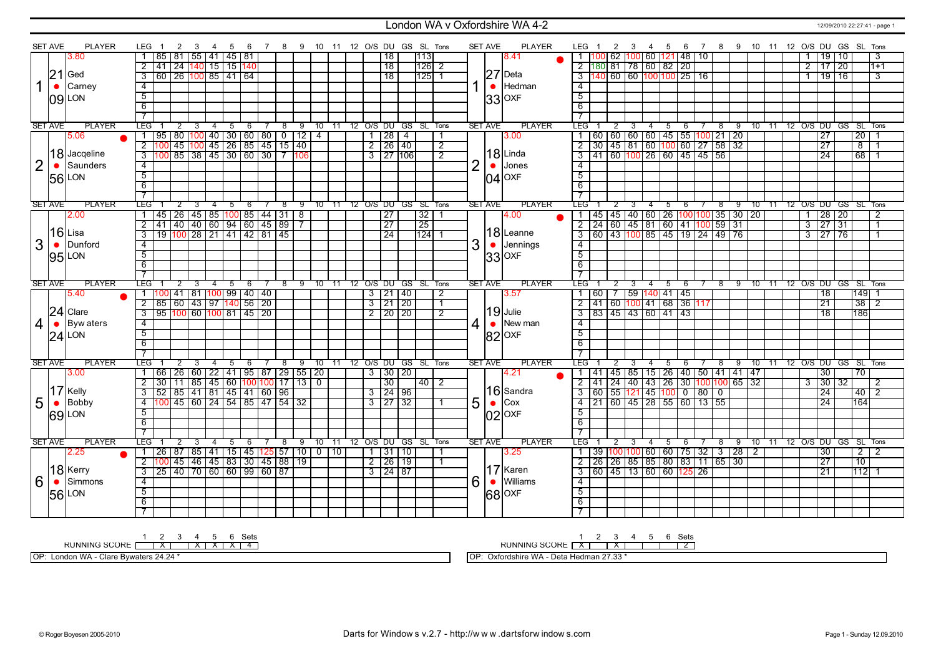### London WA v Oxfordshire WA 4-2 12/09/2010 22:27:41 - page 1

|                | <b>SET AVE</b> | <b>PLAYER</b>    | LEG.                      |                                                                                           | 2              | 3 | 4                              | - 5  |             | -6             |     |   |                                                                                                                                                    |               |  |                     | 7 8 9 10 11 12 O/S DU GS SL Tons |                |                | <b>SET AVE</b> | PLAYER        | LEG 1          | $\overline{2}$                                                                                           | $\mathbf{3}$            |                |                             |     |                |            |  |  |                | 4 5 6 7 8 9 10 11 12 O/S DU GS SL Tons |              |                  |                |
|----------------|----------------|------------------|---------------------------|-------------------------------------------------------------------------------------------|----------------|---|--------------------------------|------|-------------|----------------|-----|---|----------------------------------------------------------------------------------------------------------------------------------------------------|---------------|--|---------------------|----------------------------------|----------------|----------------|----------------|---------------|----------------|----------------------------------------------------------------------------------------------------------|-------------------------|----------------|-----------------------------|-----|----------------|------------|--|--|----------------|----------------------------------------|--------------|------------------|----------------|
|                |                | 3.80             |                           | 85   81                                                                                   |                |   | 55   41   45   81              |      |             |                |     |   |                                                                                                                                                    |               |  | 18                  | 113                              |                |                |                | 8.41          |                |                                                                                                          |                         |                | 62  100   60  121   48   10 |     |                |            |  |  |                |                                        | 19 10        |                  | 3              |
|                |                |                  | $\overline{2}$            | 41                                                                                        |                |   | <u>  24  140  15   15  140</u> |      |             |                |     |   |                                                                                                                                                    |               |  | 18                  | 126 2                            |                |                |                |               |                | $2$ 180 81 78 60 82 20                                                                                   |                         |                |                             |     |                |            |  |  | $\overline{2}$ |                                        | $17 \mid 20$ |                  | $1+1$          |
|                | 21             | Ged              | $\overline{\mathbf{3}}$   | 60   26 <mark>100</mark>   85   41   64                                                   |                |   |                                |      |             |                |     |   |                                                                                                                                                    |               |  | 18                  | 125 1                            |                |                |                | $27$ Deta     |                | 3 140 60 60 100 100 25 16                                                                                |                         |                |                             |     |                |            |  |  |                |                                        | $19$ 16      |                  | $\overline{3}$ |
|                | $\bullet$      | Carney           | $\overline{4}$            |                                                                                           |                |   |                                |      |             |                |     |   |                                                                                                                                                    |               |  |                     |                                  |                |                | $\bullet$      | Hedman        | $\overline{4}$ |                                                                                                          |                         |                |                             |     |                |            |  |  |                |                                        |              |                  |                |
|                |                |                  | $\overline{5}$            |                                                                                           |                |   |                                |      |             |                |     |   |                                                                                                                                                    |               |  |                     |                                  |                |                |                |               | $\overline{5}$ |                                                                                                          |                         |                |                             |     |                |            |  |  |                |                                        |              |                  |                |
|                |                | 09 LON           | $\overline{6}$            |                                                                                           |                |   |                                |      |             |                |     |   |                                                                                                                                                    |               |  |                     |                                  |                |                |                | 33 OXF        | $\overline{6}$ |                                                                                                          |                         |                |                             |     |                |            |  |  |                |                                        |              |                  |                |
|                |                |                  | $\overline{7}$            |                                                                                           |                |   |                                |      |             |                |     |   |                                                                                                                                                    |               |  |                     |                                  |                |                |                |               |                |                                                                                                          |                         |                |                             |     |                |            |  |  |                |                                        |              |                  |                |
|                | <b>SET AVE</b> | <b>PLAYER</b>    | LEG <sup>-</sup>          |                                                                                           | 2              | 3 | 4                              | 5    |             | 6              | 78  |   |                                                                                                                                                    |               |  |                     | 9 10 11 12 O/S DU GS SL Tons     |                |                | <b>SET AVE</b> | <b>PLAYER</b> | <b>LEG</b>     | $\overline{2}$                                                                                           | 3                       | $\overline{4}$ | 5 6                         |     |                |            |  |  |                | 7 8 9 10 11 12 O/S DU GS SL Tons       |              |                  |                |
|                |                | 5.06             | $\overline{1}$            |                                                                                           |                |   |                                |      |             |                |     |   |                                                                                                                                                    |               |  | $1$   28   4        |                                  | $\overline{1}$ |                |                | 3.00          |                |                                                                                                          |                         |                |                             |     |                |            |  |  |                | 27                                     |              | $\boxed{20}$   1 |                |
|                |                |                  |                           | 2 100                                                                                     |                |   |                                |      |             |                |     |   | 195   80   100   40   30   60   80   0   12   4<br>  100   45   100   45   26   85   45   15   40<br>  100   85   38   45   30   60   30   7   106 |               |  | $2 \mid 26 \mid 40$ |                                  | $\overline{2}$ |                |                |               |                | $\frac{1}{1}$ 60 60 60 60 45 55 100 21 20<br>2 30 45 81 60 100 60 27 58 32<br>3 41 60 100 26 60 45 45 56 |                         |                |                             |     |                |            |  |  |                | $\overline{27}$                        |              | $\overline{8}$   |                |
|                |                | 18 Jacqeline     | $\overline{\overline{3}}$ |                                                                                           |                |   |                                |      |             |                |     |   |                                                                                                                                                    |               |  | $3$   27   106      |                                  | $\overline{2}$ |                |                | 18Linda       |                |                                                                                                          |                         |                |                             |     |                |            |  |  |                | $\overline{24}$                        |              | 68               |                |
| $\overline{2}$ | $\bullet$      | Saunders         | $\overline{4}$            |                                                                                           |                |   |                                |      |             |                |     |   |                                                                                                                                                    |               |  |                     |                                  |                | $\overline{2}$ | $\bullet$      | Jones         | $\overline{4}$ |                                                                                                          |                         |                |                             |     |                |            |  |  |                |                                        |              |                  |                |
|                |                |                  | $\overline{5}$            |                                                                                           |                |   |                                |      |             |                |     |   |                                                                                                                                                    |               |  |                     |                                  |                |                |                |               | $\overline{5}$ |                                                                                                          |                         |                |                             |     |                |            |  |  |                |                                        |              |                  |                |
|                |                | 56 LON           | $\overline{6}$            |                                                                                           |                |   |                                |      |             |                |     |   |                                                                                                                                                    |               |  |                     |                                  |                |                |                | $04$ OXF      | $\overline{6}$ |                                                                                                          |                         |                |                             |     |                |            |  |  |                |                                        |              |                  |                |
|                |                |                  |                           |                                                                                           |                |   |                                |      |             |                |     |   |                                                                                                                                                    |               |  |                     |                                  |                |                |                |               |                |                                                                                                          |                         |                |                             |     |                |            |  |  |                |                                        |              |                  |                |
|                |                | <b>PLAYER</b>    | $\overline{7}$            |                                                                                           |                |   |                                |      |             |                |     |   |                                                                                                                                                    |               |  |                     |                                  |                |                |                |               |                |                                                                                                          |                         |                |                             |     |                |            |  |  |                |                                        |              |                  |                |
|                | <b>SET AVE</b> |                  | LEG'                      |                                                                                           | $\overline{2}$ | 3 |                                |      | $5^{\circ}$ | - 6            | 7 8 |   |                                                                                                                                                    |               |  |                     | 9 10 11 12 O/S DU GS SL Tons     |                |                | <b>SET AVE</b> | <b>PLAYER</b> | LEG T          | $\overline{2}$                                                                                           | 3                       | $-4$           | $5 \t 6$                    |     | $7^{\circ}8$   |            |  |  |                | 9 10 11 12 O/S DU GS SL Tons           |              |                  |                |
|                |                | 2.00             | $\overline{1}$            | 45   26   45   85   100   85   44   31   8<br>  41   40   40   60   94   60   45   89   7 |                |   |                                |      |             |                |     |   |                                                                                                                                                    |               |  | $\overline{27}$     | 32                               |                |                |                | 4.00          |                | 1 45 45 40 60 26 100 100 35 30 20<br>2 24 60 45 81 60 41 100 59 31                                       |                         |                |                             |     |                |            |  |  |                | $1 \mid 28 \mid 20$                    |              |                  | $\overline{2}$ |
|                |                | $16$ Lisa        | $\overline{2}$            |                                                                                           |                |   |                                |      |             |                |     |   |                                                                                                                                                    |               |  | $\overline{27}$     | $\overline{25}$                  |                |                |                | 18Leanne      |                |                                                                                                          |                         |                |                             |     |                |            |  |  |                | $3$   27   31                          |              |                  | $\overline{1}$ |
|                |                |                  | $\overline{\overline{3}}$ |                                                                                           |                |   | 19 100 28 21 41 42 81 45       |      |             |                |     |   |                                                                                                                                                    |               |  | $\overline{24}$     | 124 1                            |                |                |                |               |                | $\frac{1}{3}$ 60 43 100 85 45 19 24 49 76                                                                |                         |                |                             |     |                |            |  |  |                | $3 \overline{27} \overline{76}$        |              |                  |                |
| 3              | $\bullet$      | Dunford          | $\overline{4}$            |                                                                                           |                |   |                                |      |             |                |     |   |                                                                                                                                                    |               |  |                     |                                  |                | 3              |                | Jennings      | $\overline{4}$ |                                                                                                          |                         |                |                             |     |                |            |  |  |                |                                        |              |                  |                |
|                |                | 95 LON           | $\overline{5}$            |                                                                                           |                |   |                                |      |             |                |     |   |                                                                                                                                                    |               |  |                     |                                  |                |                |                | 33 OXF        | $\overline{5}$ |                                                                                                          |                         |                |                             |     |                |            |  |  |                |                                        |              |                  |                |
|                |                |                  | $\overline{6}$            |                                                                                           |                |   |                                |      |             |                |     |   |                                                                                                                                                    |               |  |                     |                                  |                |                |                |               | 6              |                                                                                                          |                         |                |                             |     |                |            |  |  |                |                                        |              |                  |                |
|                |                |                  | 7                         |                                                                                           |                |   |                                |      |             |                |     |   |                                                                                                                                                    |               |  |                     |                                  |                |                |                |               |                |                                                                                                          |                         |                |                             |     |                |            |  |  |                |                                        |              |                  |                |
|                | <b>SET AVE</b> | <b>PLAYER</b>    | LEG <sup>-</sup>          |                                                                                           | $\overline{2}$ | 3 | $\overline{4}$                 | $-5$ |             | $\overline{6}$ |     |   |                                                                                                                                                    |               |  |                     | 8 9 10 11 12 O/S DU GS SL Tons   |                |                | <b>SET AVE</b> | <b>PLAYER</b> | LEG I          | $\overline{2}$                                                                                           | $\overline{\mathbf{3}}$ | $-4$           | $5 \t 6$                    |     |                |            |  |  |                | 7 8 9 10 11 12 O/S DU GS SL Tons       |              |                  |                |
|                |                | 5.40             |                           | 100 41 81 100 99 40 40                                                                    |                |   |                                |      |             |                |     |   |                                                                                                                                                    |               |  | 3   21   40         |                                  | $\overline{2}$ |                |                | 3.57          |                | 1 60 7 59 140 41 45                                                                                      |                         |                |                             |     |                |            |  |  |                | 18                                     |              | 1149 1           |                |
|                |                |                  | $\overline{2}$            | 85 60 43 97 140 56 20                                                                     |                |   |                                |      |             |                |     |   |                                                                                                                                                    |               |  | $3 \mid 21 \mid 20$ |                                  | $\overline{1}$ |                |                |               |                | $2  41   60   100   41   68   36   117$                                                                  |                         |                |                             |     |                |            |  |  |                | $\overline{21}$                        |              | 38               | $\overline{2}$ |
|                |                | $24$ Clare       | $\overline{3}$            | 95  100   60  100   81   45   20                                                          |                |   |                                |      |             |                |     |   |                                                                                                                                                    |               |  | $2$   20   20       |                                  | $\overline{2}$ |                |                | $19$ Julie    |                | 3   83   45   43   60   41   43                                                                          |                         |                |                             |     |                |            |  |  |                | 18                                     |              | 186              |                |
| 4              | $\bullet$      | <b>Byw</b> aters | $\overline{4}$            |                                                                                           |                |   |                                |      |             |                |     |   |                                                                                                                                                    |               |  |                     |                                  |                | $\overline{4}$ | $\bullet$      | New man       | $\overline{4}$ |                                                                                                          |                         |                |                             |     |                |            |  |  |                |                                        |              |                  |                |
|                |                | $24$ LON         | 5                         |                                                                                           |                |   |                                |      |             |                |     |   |                                                                                                                                                    |               |  |                     |                                  |                |                |                | 82 OXF        | 5              |                                                                                                          |                         |                |                             |     |                |            |  |  |                |                                        |              |                  |                |
|                |                |                  | 6                         |                                                                                           |                |   |                                |      |             |                |     |   |                                                                                                                                                    |               |  |                     |                                  |                |                |                |               | 6              |                                                                                                          |                         |                |                             |     |                |            |  |  |                |                                        |              |                  |                |
|                |                |                  | $\overline{7}$            |                                                                                           |                |   |                                |      |             |                |     |   |                                                                                                                                                    |               |  |                     |                                  |                |                |                |               |                |                                                                                                          |                         |                |                             |     |                |            |  |  |                |                                        |              |                  |                |
|                | <b>SET AVE</b> | <b>PLAYER</b>    | LEG.                      |                                                                                           |                | 3 | 4                              |      | 5           | - 6            | 78  |   |                                                                                                                                                    |               |  |                     | 9 10 11 12 O/S DU GS SL Tons     |                |                | <b>SET AVE</b> | <b>PLAYER</b> | LEG            |                                                                                                          |                         | -4             |                             | 5 6 |                | $^{\circ}$ |  |  |                | 9 10 11 12 O/S DU GS SL Tons           |              |                  |                |
|                |                | 3.00             |                           |                                                                                           |                |   |                                |      |             |                |     |   | 66   26   60   22   41   95   87   29   55   20                                                                                                    |               |  | 3   30   20         |                                  |                |                |                | 4.21          |                | 1 41 45 85 15 26 40 50 41 41 47<br>2 41 24 40 43 26 30 100 100 65 32<br>3 60 55 121 45 100 0 80 0        |                         |                |                             |     |                |            |  |  |                | 30 <sup>°</sup>                        |              | T70              |                |
|                |                |                  |                           |                                                                                           |                |   |                                |      |             |                |     |   | 2 30 11 85 45 60 100 100 17 13 0                                                                                                                   |               |  | 30                  | 40 2                             |                |                |                |               |                |                                                                                                          |                         |                |                             |     |                |            |  |  |                | $3 \mid 30 \mid 32 \mid$               |              |                  | 2              |
|                |                | $17$ Kelly       | $\overline{3}$            | 52   85   41   81   45   41   60   96                                                     |                |   |                                |      |             |                |     |   |                                                                                                                                                    |               |  | 3 24 96             |                                  |                |                |                | 16 Sandra     |                |                                                                                                          |                         |                |                             |     |                |            |  |  |                | 24                                     |              | 40 2             |                |
| 5              | $\bullet$      | Bobby            | $\overline{4}$            | 100 45 60 24 54 85 47 54 32                                                               |                |   |                                |      |             |                |     |   |                                                                                                                                                    |               |  | $3 \mid 27 \mid 32$ |                                  |                | 5              | $\bullet$      | Cox           |                | $\frac{4}{21}$ 60 $\frac{45}{28}$ 55 60 13 55                                                            |                         |                |                             |     |                |            |  |  |                | 24                                     |              | 164              |                |
|                |                | <b>69</b> LON    | $5\overline{)}$           |                                                                                           |                |   |                                |      |             |                |     |   |                                                                                                                                                    |               |  |                     |                                  |                |                |                | $ 02 $ OXF    | $5^{\circ}$    |                                                                                                          |                         |                |                             |     |                |            |  |  |                |                                        |              |                  |                |
|                |                |                  | - 6                       |                                                                                           |                |   |                                |      |             |                |     |   |                                                                                                                                                    |               |  |                     |                                  |                |                |                |               | 6              |                                                                                                          |                         |                |                             |     |                |            |  |  |                |                                        |              |                  |                |
|                |                |                  | 7                         |                                                                                           |                |   |                                |      |             |                |     |   |                                                                                                                                                    |               |  |                     |                                  |                |                |                |               |                |                                                                                                          |                         |                |                             |     |                |            |  |  |                |                                        |              |                  |                |
|                | <b>SET AVE</b> | <b>PLAYER</b>    | LEG <sup>-</sup>          |                                                                                           |                |   |                                |      | 5           |                |     | 8 | 9                                                                                                                                                  | $10 \quad 11$ |  |                     | 12 O/S DU GS SL Tons             |                |                | <b>SET AVE</b> | <b>PLAYER</b> | LEG            |                                                                                                          |                         |                | 5                           | 6   | $\overline{7}$ | $^8$       |  |  |                | 9 10 11 12 O/S DU GS SL Tons           |              |                  |                |
|                |                | 2.25             |                           |                                                                                           |                |   |                                |      |             |                |     |   | 1   26   87   85   41   15   45   125   57   10   0   10                                                                                           |               |  | $1 \mid 31 \mid 10$ |                                  | -1             |                |                | 3.25          |                | 39 100 100 60 60 75 32 3 28 2                                                                            |                         |                |                             |     |                |            |  |  |                | 30                                     |              | $2 \mid 2$       |                |
|                |                |                  |                           | 2 100 45 46 45 83 30 45 88 19                                                             |                |   |                                |      |             |                |     |   |                                                                                                                                                    |               |  | $2$ 26 19           |                                  |                |                |                |               |                | 2 26 26 85 85 80 83 11 65 30                                                                             |                         |                |                             |     |                |            |  |  |                | 27                                     |              | 10               |                |
|                |                | $ 18 $ Kerry     | $\overline{\mathbf{3}}$   | <u>  25   40   70   60   60   99   60   87  </u>                                          |                |   |                                |      |             |                |     |   |                                                                                                                                                    |               |  | $3 \mid 24 \mid 87$ |                                  |                |                |                | $17$ Karen    |                | $\frac{3}{60} \frac{1}{45} \frac{1}{13} \frac{1}{60} \frac{1}{60} \frac{1}{125} \frac{26}{26}$           |                         |                |                             |     |                |            |  |  |                | 21                                     |              | 112 1            |                |
| 6              | $\bullet$      | Simmons          | $\overline{4}$            |                                                                                           |                |   |                                |      |             |                |     |   |                                                                                                                                                    |               |  |                     |                                  |                | 6              |                | İWilliams     | $\overline{4}$ |                                                                                                          |                         |                |                             |     |                |            |  |  |                |                                        |              |                  |                |
|                |                | <b>56 LON</b>    | $\overline{5}$            |                                                                                           |                |   |                                |      |             |                |     |   |                                                                                                                                                    |               |  |                     |                                  |                |                |                | 68 OXF        | $\overline{5}$ |                                                                                                          |                         |                |                             |     |                |            |  |  |                |                                        |              |                  |                |
|                |                |                  | 6                         |                                                                                           |                |   |                                |      |             |                |     |   |                                                                                                                                                    |               |  |                     |                                  |                |                |                |               | 6              |                                                                                                          |                         |                |                             |     |                |            |  |  |                |                                        |              |                  |                |
|                |                |                  | $\overline{\phantom{a}}$  |                                                                                           |                |   |                                |      |             |                |     |   |                                                                                                                                                    |               |  |                     |                                  |                |                |                |               |                |                                                                                                          |                         |                |                             |     |                |            |  |  |                |                                        |              |                  |                |
|                |                |                  |                           |                                                                                           |                |   |                                |      |             |                |     |   |                                                                                                                                                    |               |  |                     |                                  |                |                |                |               |                |                                                                                                          |                         |                |                             |     |                |            |  |  |                |                                        |              |                  |                |

1 2 3 4 5 6 Sets<br>RUNNING SCORE [ | X | X | X | X | X

OP: London WA - Clare Bywaters 24.24 \*

RUNNING SCORE 1 X 2 3 X 4 5 6 Sets 2

OP: Oxfordshire WA - Deta Hedman 27.33 \*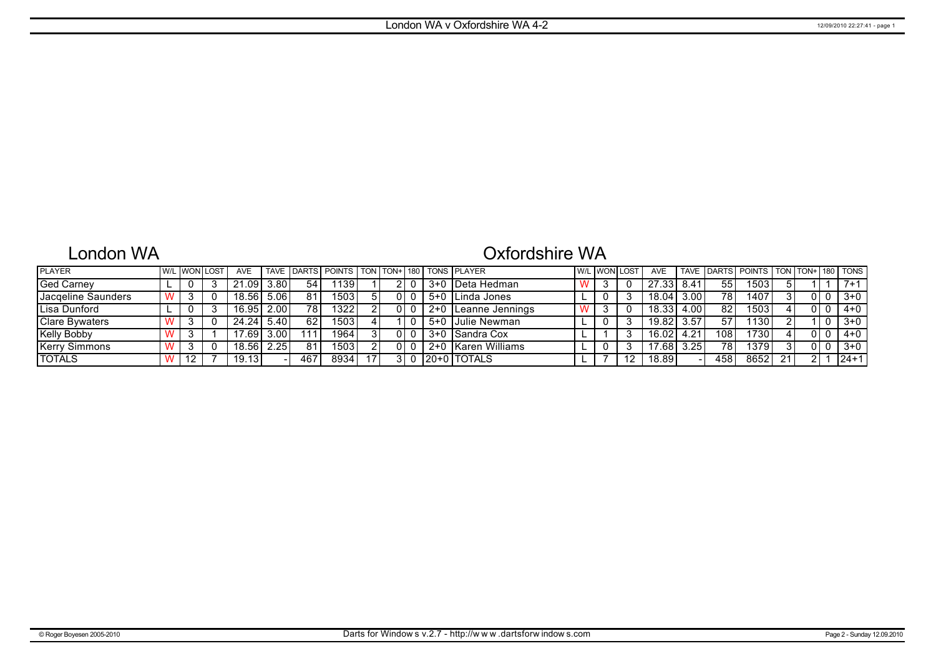# London WA

# Oxfordshire WA

| <b>PLAYER</b>         |  | <u>I W/L I WONI LOST</u> | <b>AVE</b>         |      |                 | TAVE DARTS POINTS TON TON+ 180 TONS PLAYER |  |  |                         | <b>W/L WON LOST</b> | AVE                |      |     | TAVE DARTS POINTS TON TON+ 180 TONS |    |  |         |
|-----------------------|--|--------------------------|--------------------|------|-----------------|--------------------------------------------|--|--|-------------------------|---------------------|--------------------|------|-----|-------------------------------------|----|--|---------|
| <b>Ged Carney</b>     |  |                          | 21.09              | 3.80 | 54              | 139                                        |  |  | 3+0 IDeta Hedman        |                     | 27.33              | 8.41 | 55  | 1503                                |    |  | $7 + 1$ |
| Jacgeline Saunders    |  |                          | 18.56 <sub>1</sub> | 5.06 | 81              | 15031                                      |  |  | 5+0 I Linda Jones       |                     | 18.04 <sub>1</sub> | 3.00 | 78  | 1407                                |    |  | $3+0$   |
| Lisa Dunford          |  |                          | 16.951             | 2.00 | 78              | 13221                                      |  |  | . 2+0   Leanne Jennings |                     | 18.33              | 4.00 | 82  | 1503                                |    |  | $4 + 0$ |
| <b>Clare Bywaters</b> |  |                          | 24.24              | 5.40 | 62 <sub>1</sub> | 1503 l                                     |  |  | 5+0 Julie Newman        |                     | 19.82              | 3.57 | 57  | 1130                                |    |  | 3+0     |
| <b>Kelly Bobby</b>    |  |                          | 17.691             | 3.00 | 111             | 1964                                       |  |  | 3+0 Sandra Cox          |                     | 16.02              | 4.21 | 108 | 1730                                |    |  | $4 + 0$ |
| <b>Kerry Simmons</b>  |  |                          | 18.56              | 2.25 | 81              | 1503                                       |  |  | 2+0 Karen Williams      |                     | 17.68              | 3.25 | 78  | 1379                                |    |  | 3+0     |
| <b>TOTALS</b>         |  |                          | 19.13 <sub>1</sub> |      | 467             | 8934                                       |  |  | 120+0 TOTALS            |                     | 18.89              |      | 458 | 8652                                | 21 |  | 24+1    |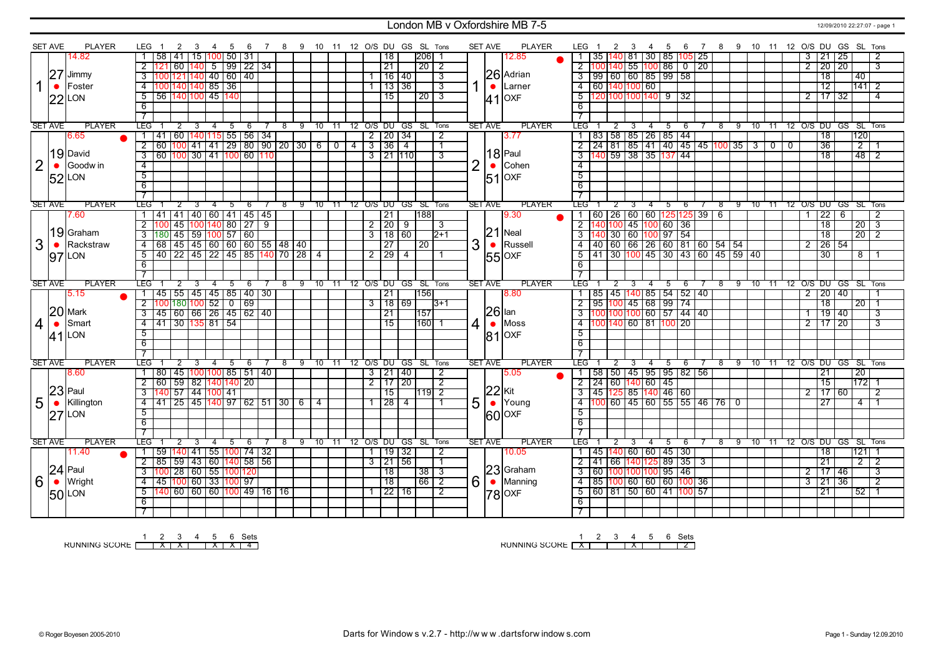### London MB v Oxfordshire MB 7-5 12/09/2010 22:27:07 - page 1

|                | <b>SET AVE</b> | <b>PLAYER</b> | LEG.                       | 2                                                                   | 3                                                | 4              | -5                     | -6  |              | 8 | 9 10 11 12 O/S DU GS SL Tons |               |    |              |                     |     |                      |                         |                | <b>SET AVE</b> | PLAYER           | LEG                 | 2              | -3  |                                              | 4  | 5                                                                                                       | 6<br>$\overline{7}$ |         |     |               |                |     |                |                       |                   |    | 8 9 10 11 12 O/S DU GS SL Tons |                |
|----------------|----------------|---------------|----------------------------|---------------------------------------------------------------------|--------------------------------------------------|----------------|------------------------|-----|--------------|---|------------------------------|---------------|----|--------------|---------------------|-----|----------------------|-------------------------|----------------|----------------|------------------|---------------------|----------------|-----|----------------------------------------------|----|---------------------------------------------------------------------------------------------------------|---------------------|---------|-----|---------------|----------------|-----|----------------|-----------------------|-------------------|----|--------------------------------|----------------|
|                |                | 14.82         | 58                         | 41                                                                  | 15                                               |                | $ 100 $ 50   31        |     |              |   |                              |               |    |              | 18                  |     | $ 206 $ 1            |                         |                |                | 12.85            |                     |                |     |                                              |    | 1   35   140   81   30   85   105   25                                                                  |                     |         |     |               |                |     | 3              | $ 21\rangle$          | $ 25\rangle$      |    |                                | 2              |
|                |                |               | $\overline{2}$<br>121      | 60                                                                  | 140                                              |                | $\frac{1}{5}$ 99 22 34 |     |              |   |                              |               |    |              | 21                  |     | 20 2                 |                         |                |                |                  |                     |                |     |                                              |    | $2 \mid 100 \mid 140 \mid 55 \mid 100 \mid 86 \mid 0 \mid 20$                                           |                     |         |     |               |                |     |                |                       | 2 20 20           |    |                                | 3              |
|                | 27             | Jimmy         | $\overline{3}$             |                                                                     | 100 121 140   40   60   40                       |                |                        |     |              |   |                              |               |    |              | 16 40               |     |                      | 3                       |                |                | 26 Adrian        |                     |                |     |                                              |    | 3   99   60   60   85   99   58                                                                         |                     |         |     |               |                |     |                |                       | $\overline{18}$   |    | 40                             |                |
|                | $\bullet$      | Foster        | $\overline{4}$             |                                                                     | 100 140 140 85 36                                |                |                        |     |              |   |                              |               |    |              | 13 36               |     |                      | $\overline{3}$          | 1              |                | $\bullet$ Larner |                     |                |     | $-4$ 60 140 100 60                           |    |                                                                                                         |                     |         |     |               |                |     |                |                       | $\overline{12}$   |    | 141 2                          |                |
|                |                |               | $\overline{5}$             |                                                                     | 56 140 100 45 140                                |                |                        |     |              |   |                              |               |    |              | $\overline{15}$     |     | $\sqrt{20}$ 3        |                         |                |                |                  |                     |                |     |                                              |    | $\overline{5}$ 120 100 100 140 9 32                                                                     |                     |         |     |               |                |     |                |                       | $2$ 17 32         |    |                                | $\overline{4}$ |
|                |                | $22$ LON      | $\overline{6}$             |                                                                     |                                                  |                |                        |     |              |   |                              |               |    |              |                     |     |                      |                         |                |                | $41$ OXF         | 6                   |                |     |                                              |    |                                                                                                         |                     |         |     |               |                |     |                |                       |                   |    |                                |                |
|                |                |               | $\overline{\phantom{a}}$   |                                                                     |                                                  |                |                        |     |              |   |                              |               |    |              |                     |     |                      |                         |                |                |                  |                     |                |     |                                              |    |                                                                                                         |                     |         |     |               |                |     |                |                       |                   |    |                                |                |
|                | <b>SET AVE</b> | <b>PLAYER</b> | <b>LEG</b>                 | 2                                                                   | 3                                                | $\overline{4}$ | 5                      | 6   |              |   |                              |               |    |              |                     |     | 12 O/S DU GS SL Tons |                         |                | <b>SET AVE</b> | <b>PLAYER</b>    | LEG                 | 2              | 3   |                                              | 4  | 5                                                                                                       | 6                   | 8       | - 9 |               |                |     |                |                       |                   |    | 10 11 12 O/S DU GS SL Tons     |                |
|                |                | 6.65          | l 41                       |                                                                     | 60   140   115   55   56   34                    |                |                        |     |              |   | 9                            | 10 11         |    |              | $2$   20   34       |     |                      | $\overline{2}$          |                |                | 3.77             |                     |                |     |                                              |    | 1   83   58   85   26   85   44                                                                         |                     |         |     |               |                |     |                |                       | $\overline{18}$   |    | 120                            |                |
|                |                |               |                            |                                                                     |                                                  |                |                        |     |              |   |                              |               |    |              |                     |     |                      |                         |                |                |                  |                     |                |     |                                              |    | 2 24 81 85 41 40 45 45 100 35 3                                                                         |                     |         |     |               |                |     |                |                       |                   |    |                                |                |
|                |                | 19 David      | $\overline{2}$             |                                                                     | 60 <mark>100 41 41 29 80 90 20 30 6 0 4</mark>   |                |                        |     |              |   |                              |               |    |              | $3 \overline{3614}$ |     |                      | 7                       |                |                | $18$ Paul        |                     |                |     |                                              |    |                                                                                                         |                     |         |     |               | $\overline{0}$ | l 0 |                | 36<br>$\overline{18}$ |                   |    | $\overline{2}$                 |                |
|                |                |               | $\overline{3}$             |                                                                     | <u>60 100 30 41 100 60 110</u>                   |                |                        |     |              |   |                              |               |    |              | 31211110            |     |                      | $\overline{3}$          |                |                |                  |                     |                |     |                                              |    |                                                                                                         |                     |         |     |               |                |     |                |                       |                   |    | 48<br>$\sqrt{2}$               |                |
| $\overline{2}$ | $\bullet$      | Goodw in      | $\overline{4}$             |                                                                     |                                                  |                |                        |     |              |   |                              |               |    |              |                     |     |                      |                         | $\overline{2}$ | $\bullet$      | Cohen            | $\overline{4}$      |                |     |                                              |    |                                                                                                         |                     |         |     |               |                |     |                |                       |                   |    |                                |                |
|                |                | $52$ LON      | $\overline{5}$             |                                                                     |                                                  |                |                        |     |              |   |                              |               |    |              |                     |     |                      |                         |                |                | $51$ OXF         | $\overline{5}$      |                |     |                                              |    |                                                                                                         |                     |         |     |               |                |     |                |                       |                   |    |                                |                |
|                |                |               | $\overline{6}$             |                                                                     |                                                  |                |                        |     |              |   |                              |               |    |              |                     |     |                      |                         |                |                |                  | 6                   |                |     |                                              |    |                                                                                                         |                     |         |     |               |                |     |                |                       |                   |    |                                |                |
|                |                |               | $\overline{7}$             |                                                                     |                                                  |                |                        |     |              |   |                              |               |    |              |                     |     |                      |                         |                |                |                  |                     |                |     |                                              |    |                                                                                                         |                     |         |     |               |                |     |                |                       |                   |    |                                |                |
|                | <b>SET AVE</b> | <b>PLAYER</b> | <b>LEG</b>                 | 2                                                                   |                                                  |                | 5                      | -6  |              | 8 | -9                           | 10            | 11 | 12 O/S DU    |                     | GS. | SL Tons              |                         |                | <b>SET AVE</b> | <b>PLAYER</b>    | LEG"                |                |     |                                              |    | 5                                                                                                       | 6                   | $^8$    | -9  | 10            | $-11$          |     | 12 0/S DU      |                       |                   | GS | SL Tons                        |                |
|                |                | 7.60          |                            |                                                                     | 41   41   40   60   41   45   45                 |                |                        |     |              |   |                              |               |    |              | 21                  |     | 1881                 |                         |                |                | 9.30             |                     |                |     |                                              |    | 1 60 26 60 60 125 125 39 6                                                                              |                     |         |     |               |                |     | $\mathbf{1}$   | $\overline{22}$       | 6                 |    |                                | $\overline{2}$ |
|                |                |               | $\overline{2}$             | $\overline{45}$                                                     | $\boxed{100}$ 140 80 $\boxed{27}$                |                |                        |     | 9            |   |                              |               |    |              | 2 20                | 9   |                      | 3                       |                |                |                  |                     |                |     |                                              |    | $2\left[140\right]100\left[45\right]100\left[60\right]36$                                               |                     |         |     |               |                |     |                |                       | 18                |    | $\overline{20}$ $\overline{3}$ |                |
|                |                | 19 Graham     | 3 <sup>7</sup>             |                                                                     | 180 45 59 100 57 60                              |                |                        |     |              |   |                              |               |    |              | 311860              |     |                      | $\sqrt{2+1}$            |                |                | $ 21 $ Neal      |                     |                |     |                                              |    | $3\left 140\right 30\left 60\right 100\left 97\right 54$                                                |                     |         |     |               |                |     |                |                       | $\overline{18}$   |    | $\overline{20}$ $\overline{2}$ |                |
| 3              | $\bullet$      | Rackstraw     | $\overline{4}$             |                                                                     | 68 45 45 60 60 60 55 48 40                       |                |                        |     |              |   |                              |               |    |              | $\overline{27}$     |     | $\overline{20}$      |                         | 3              | $\bullet$      | Russell          |                     |                |     |                                              |    | 4 40 60 66 26 60 81 60 54 54                                                                            |                     |         |     |               |                |     | $\overline{2}$ |                       | $\frac{1}{26}$ 54 |    |                                |                |
|                |                | $97$ LON      | $\overline{5}$             |                                                                     | 40 22 45 22 45 85 140 70 28 4                    |                |                        |     |              |   |                              |               |    |              | $2$ 29              | 4   |                      |                         |                |                | 55 OXF           |                     |                |     |                                              |    | 5 41 30 100 45 30 43 60 45 59 40                                                                        |                     |         |     |               |                |     |                | $\overline{30}$       |                   |    | 8                              |                |
|                |                |               | $\overline{6}$             |                                                                     |                                                  |                |                        |     |              |   |                              |               |    |              |                     |     |                      |                         |                |                |                  | 6                   |                |     |                                              |    |                                                                                                         |                     |         |     |               |                |     |                |                       |                   |    |                                |                |
|                |                |               | $\overline{7}$             |                                                                     |                                                  |                |                        |     |              |   |                              |               |    |              |                     |     |                      |                         |                |                |                  | $\overline{7}$      |                |     |                                              |    |                                                                                                         |                     |         |     |               |                |     |                |                       |                   |    |                                |                |
|                | <b>SET AVE</b> | <b>PLAYER</b> | <b>LEG</b>                 | 2                                                                   |                                                  | 4              | 5                      | 6   |              | 8 | 9                            | $10 \quad 11$ |    |              |                     |     | 12 O/S DU GS SL Tons |                         |                | <b>SET AVE</b> | <b>PLAYER</b>    | LEG <sup>-</sup>    | $\overline{2}$ |     |                                              | 4  | 5                                                                                                       | 6                   | $8 \t9$ |     | $10 \quad 11$ |                |     |                |                       |                   |    | 12 O/S DU GS SL Tons           |                |
|                |                | 5.15          | $\overline{1}$             |                                                                     |                                                  |                |                        |     |              |   |                              |               |    |              | $\overline{21}$     |     | 156                  |                         |                |                | 8.80             |                     |                |     |                                              |    | 1   85   45   140   85   54   52   40                                                                   |                     |         |     |               |                |     | $\overline{2}$ |                       | 20 40             |    |                                |                |
|                |                |               |                            |                                                                     |                                                  |                |                        |     |              |   |                              |               |    |              |                     |     |                      | $\overline{3+1}$        |                |                |                  |                     |                |     | 2 95 100 45 68 99 74                         |    |                                                                                                         |                     |         |     |               |                |     |                |                       |                   |    | $20 \mid 1$                    |                |
|                |                |               | $\overline{2}$             |                                                                     |                                                  |                |                        |     |              |   |                              |               |    |              | 3 18 69             |     |                      |                         |                |                |                  |                     |                |     |                                              |    |                                                                                                         |                     |         |     |               |                |     |                | $\overline{18}$       |                   |    |                                |                |
|                |                | $20$ Mark     | $\overline{3}$             |                                                                     |                                                  |                |                        |     |              |   |                              |               |    |              | $\overline{21}$     |     | 157                  |                         |                |                | $ 26 $ lan       |                     |                |     |                                              |    | $\frac{3}{100} \frac{100}{100} \frac{100}{100} \frac{60}{50} \frac{57}{57} \frac{44}{44} \frac{40}{40}$ |                     |         |     |               |                |     | $\mathbf{1}$   |                       | 19 40             |    | 3                              |                |
|                | $\bullet$      | Smart         | $\overline{4}$             | 45 55 45 45 85 40 30<br>100 180 100 52 0 69<br>45 60 66 26 45 62 40 | 41 30 135 81 54                                  |                |                        |     |              |   |                              |               |    |              | 15                  |     | 1601                 |                         |                | $\bullet$      | Moss             |                     |                |     |                                              |    | 4 100 140 60 81 100 20                                                                                  |                     |         |     |               |                |     |                |                       | 2 117 20          |    |                                | 3              |
| $\overline{4}$ |                |               | $\overline{5}$             |                                                                     |                                                  |                |                        |     |              |   |                              |               |    |              |                     |     |                      |                         | $\overline{4}$ |                |                  | 5                   |                |     |                                              |    |                                                                                                         |                     |         |     |               |                |     |                |                       |                   |    |                                |                |
|                |                | 41 LON        | 6                          |                                                                     |                                                  |                |                        |     |              |   |                              |               |    |              |                     |     |                      |                         |                |                | $ 81 $ OXF       | 6                   |                |     |                                              |    |                                                                                                         |                     |         |     |               |                |     |                |                       |                   |    |                                |                |
|                |                |               | $\overline{7}$             |                                                                     |                                                  |                |                        |     |              |   |                              |               |    |              |                     |     |                      |                         |                |                |                  |                     |                |     |                                              |    |                                                                                                         |                     |         |     |               |                |     |                |                       |                   |    |                                |                |
|                | <b>SET AVE</b> | <b>PLAYER</b> | <b>LEG</b>                 | 2                                                                   | 3                                                | 4              | -5                     | - 6 |              | 8 | -9                           | 10 11         |    |              |                     |     | 12 O/S DU GS SL Tons |                         |                | <b>SET AVE</b> | <b>PLAYER</b>    | LEG                 | $\overline{2}$ | - 3 |                                              | -4 | - 5                                                                                                     | - 6                 | $^8$    |     |               |                |     |                |                       |                   |    | 9 10 11 12 O/S DU GS SL Tons   |                |
|                |                | 8.60          |                            |                                                                     | 80   45  100 100  85   51   40                   |                |                        |     |              |   |                              |               |    |              | $3 \mid 21 \mid 40$ |     |                      | 2                       |                |                | 5.05             |                     |                |     |                                              |    | 1   58   50   45   95   95   82   56                                                                    |                     |         |     |               |                |     |                | 21                    |                   |    | 20                             |                |
|                |                |               |                            |                                                                     |                                                  |                |                        |     |              |   |                              |               |    |              |                     |     |                      | $\overline{2}$          |                |                |                  |                     |                |     |                                              |    |                                                                                                         |                     |         |     |               |                |     |                |                       |                   |    |                                |                |
|                |                | $23$ Paul     | 2 60 59 82 140 140 20<br>3 |                                                                     |                                                  |                |                        |     |              |   |                              |               |    |              | $2 \mid 17 \mid 20$ |     |                      |                         |                |                |                  |                     |                |     | $2 \mid 24 \mid 60 \mid 140 \mid 60 \mid 45$ |    |                                                                                                         |                     |         |     |               |                |     |                |                       | 15                |    | 172 1                          | 2              |
|                |                |               |                            |                                                                     | <mark>140</mark> 57   44   <mark>100</mark>   41 |                |                        |     |              |   |                              |               |    |              | 15                  | 4   | 119 2                |                         |                |                | $ 22 $ Kit       |                     |                |     |                                              |    | 3   45   125   85   140   46   60                                                                       |                     |         |     |               |                |     |                | 27                    | 2 17 60           |    |                                |                |
| 5              | $\bullet$      | Killington    | $\overline{4}$<br>41       |                                                                     | 25   45   140   97   62   51   30   6   4        |                |                        |     |              |   |                              |               |    |              | 28                  |     |                      |                         | 5              |                | $\bullet$ Young  |                     |                |     |                                              |    | 4 100 60 45 60 55 55 46 76 0                                                                            |                     |         |     |               |                |     |                |                       |                   |    | 4                              |                |
|                |                | $27$ LON      | $\overline{5}$             |                                                                     |                                                  |                |                        |     |              |   |                              |               |    |              |                     |     |                      |                         |                |                | 60 OXF           | $5^{\circ}$         |                |     |                                              |    |                                                                                                         |                     |         |     |               |                |     |                |                       |                   |    |                                |                |
|                |                |               | -6                         |                                                                     |                                                  |                |                        |     |              |   |                              |               |    |              |                     |     |                      |                         |                |                |                  | -6                  |                |     |                                              |    |                                                                                                         |                     |         |     |               |                |     |                |                       |                   |    |                                |                |
|                |                |               | 7                          |                                                                     |                                                  |                |                        |     |              |   |                              |               |    |              |                     |     |                      |                         |                |                |                  | $\overline{7}$      |                |     |                                              |    |                                                                                                         |                     |         |     |               |                |     |                |                       |                   |    |                                |                |
|                | <b>SET AVE</b> | <b>PLAYER</b> | LEG                        |                                                                     |                                                  |                | 5                      | -6  |              | 8 | 9                            | 10            | 11 |              | 12 O/S DU GS        |     | SL Tons              |                         |                | <b>SET AVE</b> | <b>PLAYER</b>    | LEG                 | 2              |     |                                              |    | 5                                                                                                       | 6                   | 8       | 9   | 10            | - 11           |     |                |                       |                   |    | 12 O/S DU GS SL Tons           |                |
|                |                | 11.40         | $\mathbf{1}$               |                                                                     | 59  140  41   55  100  74                        |                |                        |     | $ 32\rangle$ |   |                              |               |    | $\mathbf{1}$ | 19 32               |     |                      | 2                       |                |                | 10.05            |                     |                |     |                                              |    | 1   45   140   60   60   45   30                                                                        |                     |         |     |               |                |     |                | 18                    |                   |    | 1121                           |                |
|                |                |               | $\overline{2}$             |                                                                     | 85   59   43   60  140   58   56                 |                |                        |     |              |   |                              |               |    |              | 3 21 56             |     |                      |                         |                |                |                  |                     |                |     |                                              |    | $2  41   66   140   125   89   35   3$                                                                  |                     |         |     |               |                |     |                | 21                    |                   |    | $\overline{2}$                 | $\overline{2}$ |
|                |                | $24$ Paul     | $\overline{3}$             |                                                                     | 100 28 60 55 100 120                             |                |                        |     |              |   |                              |               |    |              | $\overline{18}$     |     | 38                   | $\overline{\mathbf{3}}$ |                |                | 23 Graham        |                     |                |     |                                              |    | 3 60 100 100 100 95 46                                                                                  |                     |         |     |               |                |     | $\overline{2}$ |                       | 17 46             |    |                                | $\overline{3}$ |
| 6              | $\bullet$      | Wright        | $\overline{4}$             |                                                                     | 45 100 60 33 100 97                              |                |                        |     |              |   |                              |               |    |              | $\overline{18}$     |     | $66$   2             |                         | 6              | $\bullet$      | Manning          |                     |                |     |                                              |    | 4 85 100 60 60 60 100 36                                                                                |                     |         |     |               |                |     | $\overline{3}$ | $\overline{21}$       | $\overline{136}$  |    |                                | $\overline{2}$ |
|                |                | 50 LON        | 5                          |                                                                     | 140 60 60 60 100 49 16 16                        |                |                        |     |              |   |                              |               |    |              | 1 22 16             |     |                      | $\overline{2}$          |                |                | $ 78 $ OXF       |                     |                |     |                                              |    | 5 60 81 50 60 41 100 57                                                                                 |                     |         |     |               |                |     |                | 21                    |                   |    | $\overline{52}$                |                |
|                |                |               | 6<br>$\overline{7}$        |                                                                     |                                                  |                |                        |     |              |   |                              |               |    |              |                     |     |                      |                         |                |                |                  | 6<br>$\overline{7}$ |                |     |                                              |    |                                                                                                         |                     |         |     |               |                |     |                |                       |                   |    |                                |                |

1 2 3 4 5 6 Sets<br>RUNNING SCORE [ | X | X | X | X | 4

RUNNING SCORE 1 X 2 3 4 X 5 6 Sets 2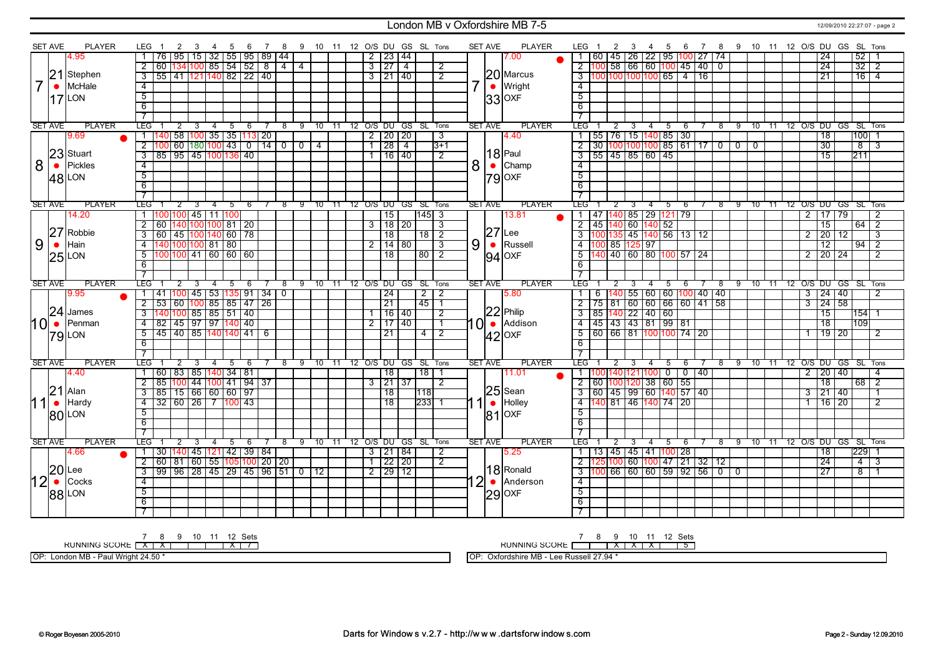### London MB v Oxfordshire MB 7-5 12/09/2010 22:27:07 - page 2

| <b>SET AVE</b><br>PLAYER<br>9 10 11 12 O/S DU GS SL Tons<br><b>SET AVE</b><br><b>PLAYER</b><br>- 8<br>95<br>15   32   55   95   89   44<br>$2 \mid 23 \mid 44$<br>4.95<br>76<br>7.00<br>134 <mark>100</mark> 85   54   52<br>3 27 <br>$\overline{2}$<br>$\overline{8}$<br>$-4$<br>60<br>$\overline{4}$<br>$\overline{2}$<br>$\overline{4}$<br> 21<br>20 Marcus<br>Stephen<br>  55   41  121 140  82   22   40<br>$\overline{\mathbf{3}}$<br>3121140<br>$\overline{2}$<br>McHale<br>$\bullet$ Wright<br>$\bullet$<br>$-4$<br>$\overline{5}$<br>LON<br>17 | 7 8 9 10 11 12 O/S DU GS SL Tons<br>LEG 1<br>2<br>3<br>5<br>- 6<br>  60   45   26   22   95   <mark>100</mark>   27   74<br>24<br>$52$   1<br>$\overline{00}$ 58 66 60 100<br>45<br>24<br>32<br>40 <sub>0</sub><br>$\overline{2}$<br>$\overline{21}$<br>$16 \mid 4$<br>16 |
|---------------------------------------------------------------------------------------------------------------------------------------------------------------------------------------------------------------------------------------------------------------------------------------------------------------------------------------------------------------------------------------------------------------------------------------------------------------------------------------------------------------------------------------------------------|---------------------------------------------------------------------------------------------------------------------------------------------------------------------------------------------------------------------------------------------------------------------------|
|                                                                                                                                                                                                                                                                                                                                                                                                                                                                                                                                                         |                                                                                                                                                                                                                                                                           |
|                                                                                                                                                                                                                                                                                                                                                                                                                                                                                                                                                         |                                                                                                                                                                                                                                                                           |
|                                                                                                                                                                                                                                                                                                                                                                                                                                                                                                                                                         |                                                                                                                                                                                                                                                                           |
|                                                                                                                                                                                                                                                                                                                                                                                                                                                                                                                                                         | $\overline{4}$                                                                                                                                                                                                                                                            |
|                                                                                                                                                                                                                                                                                                                                                                                                                                                                                                                                                         | $\overline{5}$                                                                                                                                                                                                                                                            |
| $ 33 $ OXF<br>$\overline{6}$                                                                                                                                                                                                                                                                                                                                                                                                                                                                                                                            | $\overline{6}$                                                                                                                                                                                                                                                            |
| $\overline{7}$                                                                                                                                                                                                                                                                                                                                                                                                                                                                                                                                          | $\overline{7}$                                                                                                                                                                                                                                                            |
| <b>PLAYER</b><br><b>SET AVE</b><br><b>LEG</b><br><b>PLAYER</b><br>8 9 10 11 12 O/S DU GS SL Tons<br><b>SET AVE</b><br>$-4$<br>$-5$<br>2<br>3<br>6                                                                                                                                                                                                                                                                                                                                                                                                       | <b>TEG</b><br>7 8 9 10 11 12 O/S DU GS SL Tons<br>456<br>2<br>- 3                                                                                                                                                                                                         |
| 140  58  100  35   35  113  20<br>9.69<br>$2$   20   20<br>4.40<br>$\top$<br>$\overline{3}$                                                                                                                                                                                                                                                                                                                                                                                                                                                             | 55   76   15   140   85   30<br>$\overline{18}$<br>100                                                                                                                                                                                                                    |
| 60   180   100   43   0   14   0   0   4<br>1 28 4<br>$\overline{2}$<br>$\overline{3+1}$                                                                                                                                                                                                                                                                                                                                                                                                                                                                | $\frac{30}{100}$ 100 100 100   100   85   61   17   0   0   0<br>$\overline{2}$<br>$\overline{30}$<br>हा<br>$\overline{3}$                                                                                                                                                |
| 23 Stuart<br>$ 18 $ Paul<br>$\overline{\overline{3}}$<br>  85   95   45   100   136   40<br>1 16 140<br>$\overline{2}$                                                                                                                                                                                                                                                                                                                                                                                                                                  | $\overline{\overline{3}}$<br>$\frac{1}{55}$ 45 85 60 45<br>$\overline{15}$<br>211                                                                                                                                                                                         |
| 8<br>8<br>Pickles<br>Champ<br>$\bullet$<br>$\bullet$<br>$\overline{4}$                                                                                                                                                                                                                                                                                                                                                                                                                                                                                  | $\overline{4}$                                                                                                                                                                                                                                                            |
| $\overline{5}$                                                                                                                                                                                                                                                                                                                                                                                                                                                                                                                                          | $\overline{5}$                                                                                                                                                                                                                                                            |
| 48 LON<br>$ 79 $ OXF<br>$\overline{6}$                                                                                                                                                                                                                                                                                                                                                                                                                                                                                                                  | $\overline{6}$                                                                                                                                                                                                                                                            |
| $\overline{\tau}$                                                                                                                                                                                                                                                                                                                                                                                                                                                                                                                                       |                                                                                                                                                                                                                                                                           |
| <b>PLAYER</b><br><b>PLAYER</b><br><b>SET AVE</b><br>LEG"<br>7 8 9 10 11 12 O/S DU GS SL Tons<br>SET AVE<br>$\overline{2}$<br>-3<br>$\overline{4}$<br>-5<br>6                                                                                                                                                                                                                                                                                                                                                                                            | TEG I<br>7 8 9 10 11 12 O/S DU GS SL Tons<br>$\overline{2}$<br>$\overline{\mathbf{3}}$<br>$-4$<br>56                                                                                                                                                                      |
| 100 100 45 111 100<br>$\overline{15}$<br>14513<br>14.20<br>13.81<br>$\overline{1}$                                                                                                                                                                                                                                                                                                                                                                                                                                                                      | 1 47 40 85 29 121 79<br>$2$   17   79<br>$\overline{2}$                                                                                                                                                                                                                   |
| $3 \mid 18 \mid 20$<br>$\overline{2}$<br>  60   140   100   100   81   20<br>$\overline{\mathbf{3}}$                                                                                                                                                                                                                                                                                                                                                                                                                                                    | $\overline{2}$<br>45 140 60 140 52<br>$\overline{2}$<br>$\overline{15}$<br>64                                                                                                                                                                                             |
| 27<br>$27$ Lee<br>Robbie<br>  60   45  100 140  60   78<br>$\frac{18}{2}$<br>$\overline{\mathbf{3}}$<br>$\overline{18}$                                                                                                                                                                                                                                                                                                                                                                                                                                 | 00 135 45 140 56 13 12<br>$\overline{3}$<br>$\overline{20}$<br>$\overline{2}$<br>$\overline{12}$<br>$\overline{3}$                                                                                                                                                        |
| 9<br>9<br>Hain<br>$\bullet$ Russell<br>$\bullet$<br>140 100 100 81 80<br>$2 \mid 14 \mid 80$<br>$\overline{4}$<br>$\overline{\mathbf{3}}$                                                                                                                                                                                                                                                                                                                                                                                                               | $4 \overline{100} 85 \overline{125} 97$<br>$\overline{12}$<br>$\overline{94}$<br>$\overline{2}$                                                                                                                                                                           |
| 100 100 41 60 60 60<br>$\overline{18}$<br>$80$   2<br>5                                                                                                                                                                                                                                                                                                                                                                                                                                                                                                 | <mark>140 40 60 80 100</mark> 57 24<br>$5\overline{11}$<br>$2$   20   24<br>$\overline{2}$                                                                                                                                                                                |
| $25$ LON<br>$94$ OXF<br>6                                                                                                                                                                                                                                                                                                                                                                                                                                                                                                                               | $\overline{6}$                                                                                                                                                                                                                                                            |
| $\overline{\tau}$                                                                                                                                                                                                                                                                                                                                                                                                                                                                                                                                       |                                                                                                                                                                                                                                                                           |
| <b>PLAYER</b><br><b>LEG</b><br><b>PLAYER</b><br><b>SET AVE</b><br>12 O/S DU GS SL Tons<br><b>SET AVE</b><br>-9<br>$10 \quad 11$<br>5                                                                                                                                                                                                                                                                                                                                                                                                                    | <b>LEG</b><br>10 11 12 O/S DU GS SL Tons<br>9<br>5<br>-6<br>-8                                                                                                                                                                                                            |
| $\left  \frac{100}{45} \right $ 45   53   135   91   34   0<br>$\overline{24}$<br>$2\sqrt{2}$<br>5.80<br>9.95<br>$\overline{1}$<br>41                                                                                                                                                                                                                                                                                                                                                                                                                   | $ 140 $ 55   60   60   100   40   40<br>$3 \mid 24 \mid 40$<br>$\overline{2}$<br>6                                                                                                                                                                                        |
| $\overline{2}$<br>21<br>$\overline{45}$<br>$\overline{1}$                                                                                                                                                                                                                                                                                                                                                                                                                                                                                               | 75 81 60 60 66 60 41 58<br>$3 \mid 24 \mid 58$<br>$\overline{2}$                                                                                                                                                                                                          |
| 53 60 100 85 85 47 26<br>140 100 85 85 51 40<br>24<br>James<br>16 40<br>$\overline{3}$<br>$\overline{2}$<br>1 <sup>1</sup>                                                                                                                                                                                                                                                                                                                                                                                                                              | 85 140 22 40 60<br>$\overline{15}$<br>$\overline{3}$<br>$154$ 1                                                                                                                                                                                                           |
| $0^{\vert 22 \vert_{\text{Philip}}\vert}$ Addison<br><u>  82   45   97   97  140   40</u><br>$\bullet$<br>2 17 40<br>Penman<br>$\overline{4}$                                                                                                                                                                                                                                                                                                                                                                                                           | 4 45 43 43 81 99 81<br>$\overline{18}$<br>109                                                                                                                                                                                                                             |
| 45   40   85  140 140  41   6<br>$\overline{2}$<br>$\overline{5}$<br>$\overline{21}$<br>4                                                                                                                                                                                                                                                                                                                                                                                                                                                               | 60   66   81   100 100   74   20<br>19 20<br>$\overline{5}$<br>$\overline{2}$<br>1                                                                                                                                                                                        |
| $ 42 $ OXF<br>$79$ LON<br>6                                                                                                                                                                                                                                                                                                                                                                                                                                                                                                                             | 6                                                                                                                                                                                                                                                                         |
| $\overline{7}$                                                                                                                                                                                                                                                                                                                                                                                                                                                                                                                                          |                                                                                                                                                                                                                                                                           |
| <b>SET AVE</b><br><b>PLAYER</b><br>LEG<br><b>SET AVE</b><br><b>PLAYER</b><br>9<br>$10 \quad 11$<br>12 O/S DU GS SL Tons<br>8<br>4<br>5<br>6                                                                                                                                                                                                                                                                                                                                                                                                             | LEG .<br>9 10 11 12 O/S DU GS SL Tons<br>8<br>5<br>6                                                                                                                                                                                                                      |
| 60   83   85   140   34   81<br>4.40<br>18<br>18 <sup>1</sup><br>11.01<br>$\overline{1}$                                                                                                                                                                                                                                                                                                                                                                                                                                                                | $\overline{0}$<br>20 40<br>$\overline{0}$<br>40<br>1 F<br>00 140 121<br>$\mathbf{2}$<br>4<br>100                                                                                                                                                                          |
| 85  100  44  100  41   94   37<br>$\overline{2}$<br>$3 \mid 21 \mid 37$<br>2                                                                                                                                                                                                                                                                                                                                                                                                                                                                            | 2   60   100   120   38   60   55<br>18<br>$68$   2                                                                                                                                                                                                                       |
| 21<br>$25$ Sean<br>Alan<br> 15   66   60   60   97<br>85<br>18<br>კ<br>118                                                                                                                                                                                                                                                                                                                                                                                                                                                                              | 60   45   99   60   140   57   40<br>$\overline{3}$<br> 21 40<br>3<br>$\overline{1}$                                                                                                                                                                                      |
| 11<br>Holley<br>Hardy<br>32 60 26 7 100 43<br>18<br>2331<br>-4                                                                                                                                                                                                                                                                                                                                                                                                                                                                                          | 4 140 81 46 140 74 20<br>16 20<br>$\overline{2}$<br>$\mathbf{1}$                                                                                                                                                                                                          |
| $5\overline{)}$                                                                                                                                                                                                                                                                                                                                                                                                                                                                                                                                         | $5\overline{5}$                                                                                                                                                                                                                                                           |
| <b>80 LON</b><br>$ 81 $ OXF<br>-6                                                                                                                                                                                                                                                                                                                                                                                                                                                                                                                       |                                                                                                                                                                                                                                                                           |
| 7                                                                                                                                                                                                                                                                                                                                                                                                                                                                                                                                                       | - 6                                                                                                                                                                                                                                                                       |
| <b>PLAYER</b><br><b>PLAYER</b><br><b>LEG</b>                                                                                                                                                                                                                                                                                                                                                                                                                                                                                                            | LEG <sup>-</sup>                                                                                                                                                                                                                                                          |
| <b>SET AVE</b><br><b>SET AVE</b><br>10<br>12 O/S DU GS<br>SL Tons<br>2<br>3<br>4<br>5<br>-6<br>8<br>9<br>11                                                                                                                                                                                                                                                                                                                                                                                                                                             | 12 O/S DU GS SL Tons<br>9<br>10<br>11<br>2<br>3<br>4<br>5<br>6<br>8                                                                                                                                                                                                       |
| 30   140   45   121   42   39   84<br>3   21   84<br>l 1<br>2<br>5.25<br>4.66<br>  60   81   60   55  105 100  20   20<br>1 22 20<br>$\overline{2}$                                                                                                                                                                                                                                                                                                                                                                                                     | 13   45   45   41   100   28<br>18<br> 229 <br>$\overline{1}$<br>- 1<br>25 100 60 100 47 21 32 12<br>24<br>$\overline{2}$<br>$\overline{4}$                                                                                                                               |
| $\overline{2}$<br>$20$ Lee<br>18 Ronald                                                                                                                                                                                                                                                                                                                                                                                                                                                                                                                 | 3                                                                                                                                                                                                                                                                         |
| 99   96   28   45   29   45   96   51   0   12<br>2 29 12<br>$\overline{\mathbf{3}}$                                                                                                                                                                                                                                                                                                                                                                                                                                                                    | 3 100 66 60 60 59 92 56 0 0<br>27<br>$\overline{8}$<br>$\overline{1}$                                                                                                                                                                                                     |
| 12<br>Cocks<br>Anderson<br>$\overline{4}$                                                                                                                                                                                                                                                                                                                                                                                                                                                                                                               | $\overline{4}$                                                                                                                                                                                                                                                            |
| $\overline{5}$<br>$ 29 $ OXF<br>88 LON                                                                                                                                                                                                                                                                                                                                                                                                                                                                                                                  | $\overline{5}$                                                                                                                                                                                                                                                            |
| 6                                                                                                                                                                                                                                                                                                                                                                                                                                                                                                                                                       | 6                                                                                                                                                                                                                                                                         |
|                                                                                                                                                                                                                                                                                                                                                                                                                                                                                                                                                         |                                                                                                                                                                                                                                                                           |

RUNNING SCORE 7 X 8 X 9 10 11 12 X Sets 7

OP: London MB - Paul Wright 24.50 \*

RUNNING SCORE 7 8 9 X 10 X 11 X 12 Sets 5

OP: Oxfordshire MB - Lee Russell 27.94 \*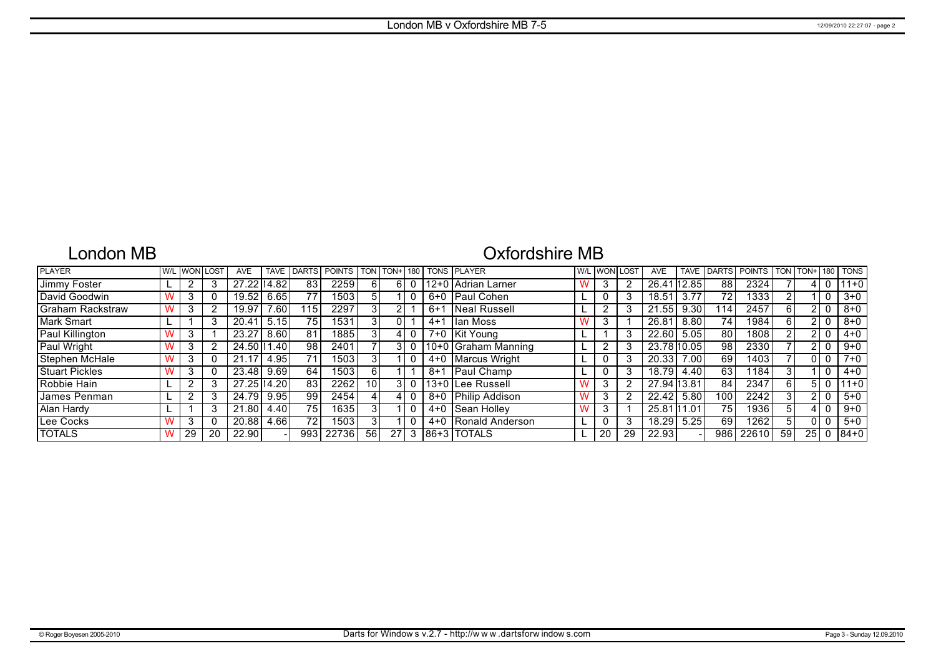## London MB

# Oxfordshire MB

| <b>PLAYER</b>           |    | I W/L I WONI LOST | <b>AVE</b>   | <b>TAVE</b> | <b>IDARTS</b> | <b>POINTS</b>     | <b>TON</b> | TON+ | 180 |         | <b>TONS PLAYER</b>   | <b>WILLWONL</b> | LOST | <b>AVE</b>  | <b>TAVE</b> | <b>DARTS</b>    | <b>POINTS</b> | <b>TON</b> | TON+ | 180 | <b>TONS</b> |
|-------------------------|----|-------------------|--------------|-------------|---------------|-------------------|------------|------|-----|---------|----------------------|-----------------|------|-------------|-------------|-----------------|---------------|------------|------|-----|-------------|
| Jimmy Foster            |    |                   | 27.22114.82  |             | 83            | 2259              | 6 I        | 6.   |     |         | 12+0   Adrian Larner | 3               |      | 26.41       | 12.85       | 88              | 2324          |            |      |     | $111+0$     |
| David Goodwin           | د. |                   | 19.52        | 6.65        | 77            | 1503 <sub>1</sub> | 51         |      |     |         | 6+0 Paul Cohen       |                 | 3    | 18.51       | 3.77        | 72.             | 1333          |            |      |     | $3 + 0$     |
| <b>Graham Rackstraw</b> | -3 |                   | 19.97        | 7.60        | 115.          | 2297              |            |      |     | $6+1$   | Neal Russell         | ົ               | 3    | 21.55       | 9.30        | 14              | 2457          | 6          |      |     | $8 + 0$     |
| Mark Smart              |    |                   | 20.41        | 5.15        | 75            | 1531              | 3          |      |     | $4 + 1$ | lan Moss             | 3               |      | 26.81       | 8.80        | 74 <sub>1</sub> | 1984          | 6          |      |     | $8 + 0$     |
| Paul Killington         | د. |                   | 23.27        | 8.60        | 81            | 1885              |            |      |     |         | 7+0 Kit Young        |                 | 3    | 22.60       | 5.05        | 80              | 1808          |            |      |     | $4 + 0$     |
| Paul Wright             | 3  |                   | 24.50   1.40 |             | 98            | 2401              |            |      |     |         | 10+0 Graham Manning  | ◠               | 3    | 23.78 10.05 |             | 98              | 2330          |            |      |     | $9+0$       |
| Stephen McHale          |    |                   | 21.17        | 4.95        | 71            | 1503              |            |      |     |         | 4+0   Marcus Wright  | 0               | 3    | 20.33       | 7.00        | 69              | 1403          |            |      |     | $7+0$       |
| <b>Stuart Pickles</b>   | -3 |                   | 23.48        | 9.69        | 64            | 1503              | 61         |      |     | 8+1     | Paul Champ           | 0               | 3    | 18.79       | 4.40        | 63              | 1184          | 3          |      |     | $4 + 0$     |
| Robbie Hain             |    |                   | 27.25 14.20  |             | 83            | 2262              | 10         | 31   |     |         | 13+0   Lee Russell   | 3               | 2    | 27.94 13.81 |             | 84              | 2347          | 6          |      |     | $ 11+0 $    |
| James Penman            |    |                   | 24.79        | 9.95        | 99            | 2454              |            |      |     |         | 8+0 Philip Addison   | 3               |      | 22.42       | 5.80        | 100             | 2242          |            |      |     | $5 + 0$     |
| Alan Hardy              |    |                   | 21.80        | 4.40        | 75            | 1635 l            |            |      |     |         | 4+0   Sean Holley    | 3               |      | 25.81       | 11.01       | 75              | 1936          |            |      |     | $9+0$       |
| Lee Cocks               | K  |                   | 20.88        | 4.66        | 72            | 1503              |            |      |     | $4 + 0$ | Ronald Anderson      | 0               | 3    | 18.29       | 5.25        | 69              | 1262          |            |      |     | $5+0$       |
| <b>TOTALS</b>           | 29 | 20                | 22.90        |             | 993           | 22736             | 56         | 27   |     |         | 186+3 ITOTALS        | 20              | 29   | 22.93       |             | 986             | 22610         | 59         | 25   |     | $184 + 0$   |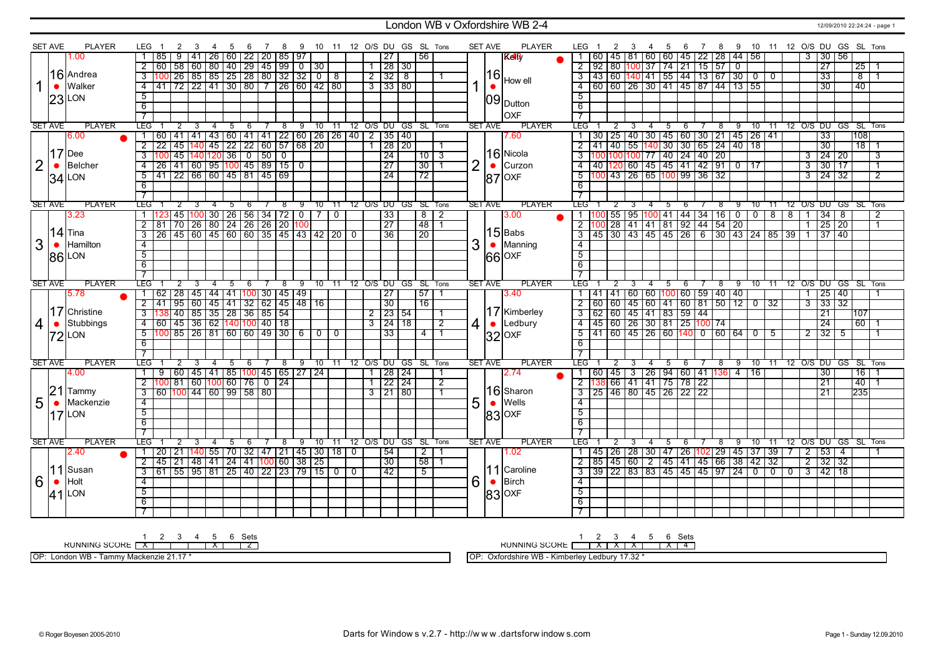### London WB v Oxfordshire WB 2-4 12/09/2010 22:24:24 - page 1

|                | <b>SET AVE</b> | <b>PLAYER</b> | LEG                      |                                     | -3             | - 4                                                                | 5 | - 6 | 78 |      | 9 10 11 12 O/S DU GS SL Tons   |           |  |                     |                     |                              |                |                | <b>SET AVE</b> | <b>PLAYER</b>     |                         | LEG 1 | $\overline{2}$ | 3 | -4                                                                               | 5           |             |            |                          |                |                 |                                                                          |                                   | 6 7 8 9 10 11 12 O/S DU GS SL Tons |      |                         |
|----------------|----------------|---------------|--------------------------|-------------------------------------|----------------|--------------------------------------------------------------------|---|-----|----|------|--------------------------------|-----------|--|---------------------|---------------------|------------------------------|----------------|----------------|----------------|-------------------|-------------------------|-------|----------------|---|----------------------------------------------------------------------------------|-------------|-------------|------------|--------------------------|----------------|-----------------|--------------------------------------------------------------------------|-----------------------------------|------------------------------------|------|-------------------------|
|                |                | 1.00          |                          | 85                                  | $9$ 1          | 41   26   60   22   20   85   97                                   |   |     |    |      |                                |           |  |                     | 27                  | 56                           |                |                |                | <b>Reli</b>       |                         |       |                |   | 60   45   81   60   60   45   22   28   44   56                                  |             |             |            |                          |                |                 |                                                                          | 3 30 56                           |                                    |      |                         |
|                |                |               |                          | 601                                 |                | 58   60   80   40   29   45   99   0   30                          |   |     |    |      |                                |           |  |                     | 1 28 30             |                              |                |                |                |                   | $\overline{2}$          |       |                |   | 92 80 100 37                                                                     |             | 74 21 15 57 |            | $\overline{\phantom{0}}$ |                |                 |                                                                          | 27                                |                                    | 25   |                         |
|                |                | 16 Andrea     | $\overline{3}$           | 100 26 85 85 25 28 80 32 32 0 8     |                |                                                                    |   |     |    |      |                                |           |  | 213218              |                     |                              |                |                | 16             |                   |                         |       |                |   | 3 43 60 140 41 55 44 13 67 30 0 0                                                |             |             |            |                          |                |                 |                                                                          | 33                                |                                    | - 8  |                         |
|                | $\bullet$      | Walker        |                          | 4 41 72 22 41 30 80 7 26 60 42 80   |                |                                                                    |   |     |    |      |                                |           |  | $3 \mid 33 \mid 80$ |                     |                              |                |                |                | How ell           | $\overline{4}$          |       |                |   | 60   60   26   30   41   45   87   44   13   55                                  |             |             |            |                          |                |                 |                                                                          | $\overline{30}$                   |                                    | 40   |                         |
|                |                |               | 5                        |                                     |                |                                                                    |   |     |    |      |                                |           |  |                     |                     |                              |                |                |                |                   | $\overline{5}$          |       |                |   |                                                                                  |             |             |            |                          |                |                 |                                                                          |                                   |                                    |      |                         |
|                |                | $23$ LON      | 6                        |                                     |                |                                                                    |   |     |    |      |                                |           |  |                     |                     |                              |                |                | 09             | Dutton            | 6                       |       |                |   |                                                                                  |             |             |            |                          |                |                 |                                                                          |                                   |                                    |      |                         |
|                |                |               |                          |                                     |                |                                                                    |   |     |    |      |                                |           |  |                     |                     |                              |                |                |                | loxf              |                         |       |                |   |                                                                                  |             |             |            |                          |                |                 |                                                                          |                                   |                                    |      |                         |
|                |                |               | $\overline{\phantom{a}}$ |                                     |                |                                                                    |   |     |    |      |                                |           |  |                     |                     |                              |                |                |                |                   | $\overline{7}$          |       |                |   |                                                                                  |             |             |            |                          |                |                 |                                                                          |                                   |                                    |      |                         |
|                | <b>SET AVE</b> | <b>PLAYER</b> | <b>TEG</b>               |                                     |                |                                                                    | 5 | -6  |    | $^8$ |                                |           |  |                     |                     | 9 10 11 12 O/S DU GS SL Tons |                |                | <b>SET AVE</b> | <b>PLAYER</b>     | LEG <sup>-</sup>        |       |                | 3 |                                                                                  | 5           | 6           | $^{\circ}$ | 9                        |                |                 |                                                                          |                                   | 10 11 12 0/S DU GS SL Tons         |      |                         |
|                |                | 6.00          | 1 I                      | 60                                  |                | 41   41   43   60   41   41   22   60   26   26   40   2   35   40 |   |     |    |      |                                |           |  |                     |                     |                              |                |                |                | 7.60              |                         |       |                |   | 30   25   40   30   45   60   30   21   45   26   41                             |             |             |            |                          |                |                 |                                                                          | $\overline{33}$                   |                                    | 108  |                         |
|                |                |               | $\overline{2}$           | 22 45 140 45 22 22 60 57 68 20      |                |                                                                    |   |     |    |      |                                |           |  |                     | 1 28 20             |                              | 1              |                |                |                   |                         |       |                |   | 2 41 40 55 140 30 30 65 24 40 18                                                 |             |             |            |                          |                |                 |                                                                          | $\overline{30}$                   |                                    | 18 1 |                         |
|                |                | $17$ Dee      |                          |                                     |                | 45   140   120   36   0   50   0                                   |   |     |    |      |                                |           |  |                     | $\overline{24}$     | 1013                         |                |                |                | $16$  Nicola      | $\overline{3}$          |       |                |   | 100 100 100 77 40 24 40 20                                                       |             |             |            |                          |                |                 |                                                                          | $3 \mid 24 \mid 20$               |                                    |      | $\overline{\mathbf{3}}$ |
| $\overline{2}$ | $\bullet$      | Belcher       | $\overline{4}$           | 26 41 60 95 100 45 89 15 0          |                |                                                                    |   |     |    |      |                                |           |  |                     | $\overline{27}$     | $\overline{30}$              | -1             | $\overline{2}$ | $\bullet$      | Curzon            | $\overline{4}$          |       |                |   | 40   120   60   45   45   41   42   91   0   17                                  |             |             |            |                          |                |                 |                                                                          | $3 \times 130 \times 17$          |                                    |      | $\overline{1}$          |
|                |                | $34$ LON      | $\overline{5}$           | 41 22 66 60 45 81 45 69             |                |                                                                    |   |     |    |      |                                |           |  |                     | $\overline{24}$     | $\overline{72}$              |                |                |                | $ 87 $ OXF        | $\overline{5}$          |       |                |   | 100 43 26 65 100 99 36 32                                                        |             |             |            |                          |                |                 |                                                                          | $3 \overline{)24} \overline{)32}$ |                                    |      | $\overline{2}$          |
|                |                |               | $\overline{6}$           |                                     |                |                                                                    |   |     |    |      |                                |           |  |                     |                     |                              |                |                |                |                   | 6                       |       |                |   |                                                                                  |             |             |            |                          |                |                 |                                                                          |                                   |                                    |      |                         |
|                |                |               | $\overline{7}$           |                                     |                |                                                                    |   |     |    |      |                                |           |  |                     |                     |                              |                |                |                |                   | $\overline{7}$          |       |                |   |                                                                                  |             |             |            |                          |                |                 |                                                                          |                                   |                                    |      |                         |
| <b>SET AVE</b> |                | <b>PLAYER</b> | <b>TEG</b>               |                                     |                |                                                                    | 5 | - 6 |    | -8   | 9                              | $10$ $11$ |  |                     |                     | 12 O/S DU GS SL Tons         |                |                | <b>SET AVE</b> | <b>PLAYER</b>     | LEG I                   |       |                | 3 |                                                                                  | -5          | -6          | 8          | ு                        | 70             | $-11$           |                                                                          |                                   | 12 O/S DU GS SL Tons               |      |                         |
|                |                | 3.23          |                          |                                     |                | 45 100 30 26 56 34 72 0 7 0                                        |   |     |    |      |                                |           |  |                     | 33                  | $\overline{8}$ T             | $\overline{2}$ |                |                | 3.00              |                         |       |                |   | 55   95   <mark>100</mark>   41   44   34   16   0                               |             |             |            |                          |                |                 | $0$   8   8   1   34   8                                                 |                                   |                                    |      | $\overline{2}$          |
|                |                |               | $\overline{2}$           | 81                                  |                | 70 26 80 24 26 26 20 100                                           |   |     |    |      |                                |           |  |                     | $\overline{27}$     | 48                           | $\overline{1}$ |                |                |                   | $\overline{2}$          |       |                |   | 100 28 41 41 81 92 44 54 20                                                      |             |             |            |                          |                |                 |                                                                          | $1 \mid 25 \mid 20$               |                                    |      | $\overline{1}$          |
|                |                | $ 14 $ Tina   | $\overline{\mathbf{3}}$  | 26 45 60 45 60 60 35 45 43 42 20 0  |                |                                                                    |   |     |    |      |                                |           |  |                     | $\overline{36}$     | $\overline{20}$              |                |                |                | $ 15 $ Babs       | $\overline{3}$          |       |                |   |                                                                                  |             |             |            |                          |                |                 | 45   30   43   45   45   26   6   30   43   24   85   39   1   37   40   |                                   |                                    |      |                         |
| 3              | $\bullet$      | Hamilton      | $\overline{4}$           |                                     |                |                                                                    |   |     |    |      |                                |           |  |                     |                     |                              |                | 3              |                | Manning           | $\overline{4}$          |       |                |   |                                                                                  |             |             |            |                          |                |                 |                                                                          |                                   |                                    |      |                         |
|                |                | <b>86 LON</b> | $\overline{5}$           |                                     |                |                                                                    |   |     |    |      |                                |           |  |                     |                     |                              |                |                |                | $ 66 $ OXF        | $\overline{5}$          |       |                |   |                                                                                  |             |             |            |                          |                |                 |                                                                          |                                   |                                    |      |                         |
|                |                |               | 6                        |                                     |                |                                                                    |   |     |    |      |                                |           |  |                     |                     |                              |                |                |                |                   | 6                       |       |                |   |                                                                                  |             |             |            |                          |                |                 |                                                                          |                                   |                                    |      |                         |
|                |                |               | $\overline{7}$           |                                     |                |                                                                    |   |     |    |      |                                |           |  |                     |                     |                              |                |                |                |                   | $\overline{\tau}$       |       |                |   |                                                                                  |             |             |            |                          |                |                 |                                                                          |                                   |                                    |      |                         |
| <b>SET AVE</b> |                | <b>PLAYER</b> | <b>LEG</b>               |                                     | $\overline{2}$ | $\overline{4}$                                                     | 5 | -6  |    | -8   | 9                              |           |  |                     |                     | 10 11 12 O/S DU GS SL Tons   |                |                | <b>SET AVE</b> | <b>PLAYER</b>     | LEG <sup>-</sup>        |       |                |   | $-4$                                                                             | $5^{\circ}$ | - 6         | $^8$       | -9                       | $10 \quad 11$  |                 |                                                                          |                                   | 12 O/S DU GS SL Tons               |      |                         |
|                |                | 5.78          | $\overline{1}$           | 62                                  |                | 28 45 44 41 100 30 45 49                                           |   |     |    |      |                                |           |  |                     | $\overline{27}$     | 57                           |                |                |                | 3.40              |                         |       |                |   | 41   41   60   60   <mark>100</mark>   60   59   40   40                         |             |             |            |                          |                |                 |                                                                          | $1 \mid 25 \mid 40$               |                                    |      |                         |
|                |                |               | $\overline{2}$           | 41                                  |                | $\boxed{95}$ 60 45 41 32 62 45 48 16                               |   |     |    |      |                                |           |  |                     | 30                  | $\overline{16}$              |                |                |                |                   | $\overline{2}$          |       |                |   |                                                                                  |             |             |            |                          | $\overline{0}$ | $\overline{32}$ |                                                                          | $3 \mid 33 \mid 32$               |                                    |      |                         |
|                |                | 17 Christine  | $\overline{3}$           |                                     |                | 40 85 35 28 36 85 54                                               |   |     |    |      |                                |           |  | $\frac{2}{2}$ 23 54 |                     |                              | 1              |                |                | 17 Kimberley      | $\overline{3}$          |       |                |   | 60   60   45   60   41   60   81   50   12<br>  62   60   45   41   83   59   44 |             |             |            |                          |                |                 |                                                                          | 21                                |                                    | 1107 |                         |
| $\overline{4}$ | $\bullet$      | Stubbings     | $\overline{4}$           | 60   45   36   62  140 100  40   18 |                |                                                                    |   |     |    |      |                                |           |  | $3 \mid 24 \mid 18$ |                     |                              | $\overline{2}$ | 4              |                | Ledbury           | $\overline{4}$          |       |                |   | 45   60   26   30   81   25 <mark>  100</mark>   74                              |             |             |            |                          |                |                 |                                                                          | $\overline{24}$                   |                                    | 60   |                         |
|                |                |               | $\overline{5}$           | 100 85 26 81 60 60 49 30 6 0 0      |                |                                                                    |   |     |    |      |                                |           |  |                     | 33                  | 4                            | $\overline{1}$ |                |                |                   |                         |       |                |   | <u>5 41 60 45 26 60 140 0 60 64 0 5 1</u>                                        |             |             |            |                          |                |                 |                                                                          | $\frac{2}{32}$ 5                  |                                    |      |                         |
|                |                | 72 LON        | 6                        |                                     |                |                                                                    |   |     |    |      |                                |           |  |                     |                     |                              |                |                |                | $ 32 $ OXF        | -6                      |       |                |   |                                                                                  |             |             |            |                          |                |                 |                                                                          |                                   |                                    |      |                         |
|                |                |               | $\overline{7}$           |                                     |                |                                                                    |   |     |    |      |                                |           |  |                     |                     |                              |                |                |                |                   |                         |       |                |   |                                                                                  |             |             |            |                          |                |                 |                                                                          |                                   |                                    |      |                         |
| <b>SET AVE</b> |                | <b>PLAYER</b> | <b>LEG</b>               |                                     |                |                                                                    | 5 | 6   |    |      | 8 9 10 11 12 O/S DU GS SL Tons |           |  |                     |                     |                              |                |                | <b>SET AVE</b> | <b>PLAYER</b>     | LEG I                   |       | 2              | 3 | 4                                                                                | - 5         | 6           | 8          |                          |                |                 |                                                                          |                                   | 9 10 11 12 O/S DU GS SL Tons       |      |                         |
|                |                | 4.00          | $\overline{1}$           | 9                                   |                | 60   45   41   85   100   45   65   27   24                        |   |     |    |      |                                |           |  |                     | $1$   28   24       |                              |                |                |                | 2.74              |                         |       |                |   | 60   45   3   26   94   60   41   136   4                                        |             |             |            |                          | 16             |                 |                                                                          | 30                                |                                    | 16   |                         |
|                |                |               | $\overline{2}$           | 100                                 |                | 81 60 100 60 76 0 24                                               |   |     |    |      |                                |           |  |                     | $22 \mid 24$        |                              | 2              |                |                |                   | $\overline{2}$          |       |                |   | 138 66 41 41 75 78 22                                                            |             |             |            |                          |                |                 |                                                                          | 21                                |                                    | 40 l |                         |
|                | 21             | Tammy         | 3                        | $\frac{100}{100}$ 44 60 99 58 80    |                |                                                                    |   |     |    |      |                                |           |  |                     | $3 \mid 21 \mid 80$ |                              |                |                |                | 16 Sharon         | 3                       |       |                |   | 25 46 80 45 26 22 22                                                             |             |             |            |                          |                |                 |                                                                          | 21                                |                                    | 235  |                         |
|                |                | Mackenzie     |                          |                                     |                |                                                                    |   |     |    |      |                                |           |  |                     |                     |                              |                |                |                | <b>Wells</b>      |                         |       |                |   |                                                                                  |             |             |            |                          |                |                 |                                                                          |                                   |                                    |      |                         |
| 5              | $\bullet$      |               | $\overline{4}$           |                                     |                |                                                                    |   |     |    |      |                                |           |  |                     |                     |                              |                | 5              |                |                   | 4                       |       |                |   |                                                                                  |             |             |            |                          |                |                 |                                                                          |                                   |                                    |      |                         |
|                |                | $17$ LON      | 5                        |                                     |                |                                                                    |   |     |    |      |                                |           |  |                     |                     |                              |                |                |                | $ 83 $ OXF        | 5                       |       |                |   |                                                                                  |             |             |            |                          |                |                 |                                                                          |                                   |                                    |      |                         |
|                |                |               | 6                        |                                     |                |                                                                    |   |     |    |      |                                |           |  |                     |                     |                              |                |                |                |                   | 6                       |       |                |   |                                                                                  |             |             |            |                          |                |                 |                                                                          |                                   |                                    |      |                         |
|                |                |               | $\overline{7}$           |                                     |                |                                                                    |   |     |    |      |                                |           |  |                     |                     |                              |                |                |                |                   | $\overline{7}$          |       |                |   |                                                                                  |             |             |            |                          |                |                 |                                                                          |                                   |                                    |      |                         |
|                | <b>SET AVE</b> | <b>PLAYER</b> | LEG.                     |                                     | 2              |                                                                    | 5 | 6   |    | 8    | 9                              |           |  |                     |                     | 10 11 12 O/S DU GS SL Tons   |                |                | <b>SET AVE</b> | <b>PLAYER</b>     | LEG                     |       | $\overline{2}$ | 3 | $\overline{4}$                                                                   | 5           | 6           | $^8$       | 9                        | 10             | $-11$           |                                                                          |                                   | 12 O/S DU GS SL Tons               |      |                         |
|                |                | 2.40          | $1 \overline{20}$        |                                     |                | 21   140   55   70   32   47   21   45   30   18   0               |   |     |    |      |                                |           |  |                     | $\overline{54}$     | 2 <sub>1</sub>               | -1             |                |                | 1.02 <sub>1</sub> |                         |       |                |   | 45   26   28   30   47   26  102  29   45   37   39                              |             |             |            |                          |                |                 | 7 2 53 4                                                                 |                                   |                                    |      |                         |
|                |                |               | 2 <sup>1</sup>           | <b>45</b> I                         |                | 21   48   41   24   41  100  60   38   25                          |   |     |    |      |                                |           |  |                     | 30                  | 58                           |                |                |                |                   |                         |       |                |   | 85   45   60   2   45   41   45   66   38   42   32                              |             |             |            |                          |                |                 |                                                                          | 2 32 32                           |                                    |      |                         |
|                | 11             | Susan         |                          | 3 61 55 95 81 25 40 22 23 79 15 0 0 |                |                                                                    |   |     |    |      |                                |           |  |                     | 42                  | $\overline{5}$               |                |                |                | 11   Caroline     | $\overline{\mathbf{3}}$ |       |                |   |                                                                                  |             |             |            |                          |                |                 | 39   22   83   83   45   45   45   97   24   0   0   0   0   3   42   18 |                                   |                                    |      |                         |
| 6              | $\bullet$      | Holt          | $-4$                     |                                     |                |                                                                    |   |     |    |      |                                |           |  |                     |                     |                              |                | 6              |                | Birch             | $-4$                    |       |                |   |                                                                                  |             |             |            |                          |                |                 |                                                                          |                                   |                                    |      |                         |
|                |                | $41$ LON      | $\overline{5}$           |                                     |                |                                                                    |   |     |    |      |                                |           |  |                     |                     |                              |                |                |                | $ 83 $ OXF        | $\overline{5}$          |       |                |   |                                                                                  |             |             |            |                          |                |                 |                                                                          |                                   |                                    |      |                         |
|                |                |               |                          |                                     |                |                                                                    |   |     |    |      |                                |           |  |                     |                     |                              |                |                |                |                   |                         |       |                |   |                                                                                  |             |             |            |                          |                |                 |                                                                          |                                   |                                    |      |                         |
|                |                |               | 6                        |                                     |                |                                                                    |   |     |    |      |                                |           |  |                     |                     |                              |                |                |                |                   | 6                       |       |                |   |                                                                                  |             |             |            |                          |                |                 |                                                                          |                                   |                                    |      |                         |
|                |                |               |                          |                                     |                |                                                                    |   |     |    |      |                                |           |  |                     |                     |                              |                |                |                |                   |                         |       |                |   |                                                                                  |             |             |            |                          |                |                 |                                                                          |                                   |                                    |      |                         |

1 2 3 4 5 6 Sets<br>RUNNING SCORE <u>| X | | | | | X | | 2</u>

OP: London WB - Tammy Mackenzie 21.17 \*

RUNNING SCORE 1 2 X 3 X 4 X 5 6 X Sets 4

OP: Oxfordshire WB - Kimberley Ledbury 17.32 \*